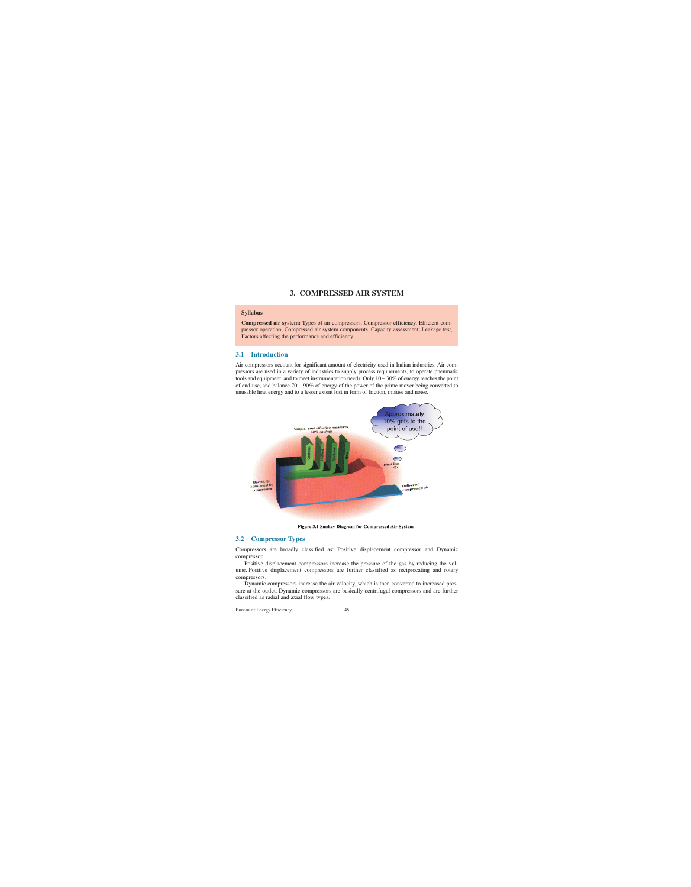# **3. COMPRESSED AIR SYSTEM**

#### **Syllabus**

**Compressed air system:** Types of air compressors, Compressor efficiency, Efficient compressor operation, Compressed air system components, Capacity assessment, Leakage test, Factors affecting the performance and efficiency

## **3.1 Introduction**

Air compressors account for significant amount of electricity used in Indian industries. Air compressors are used in a variety of industries to supply process requirements, to operate pneumatic tools and equipment, and to meet instrumentation needs. Only  $10-30\%$  of energy reaches the point of end-use, and balance 70 – 90% of energy of the power of the prime mover being converted to unusable heat energy and to a lesser extent lost in form of friction, misuse and noise.



**Figure 3.1 Sankey Diagram for Compressed Air System** 

## **3.2 Compressor Types**

Compressors are broadly classified as: Positive displacement compressor and Dynamic compressor.

Positive displacement compressors increase the pressure of the gas by reducing the volume. Positive displacement compressors are further classified as reciprocating and rotary compressors.

Dynamic compressors increase the air velocity, which is then converted to increased pressure at the outlet. Dynamic compressors are basically centrifugal compressors and are further classified as radial and axial flow types.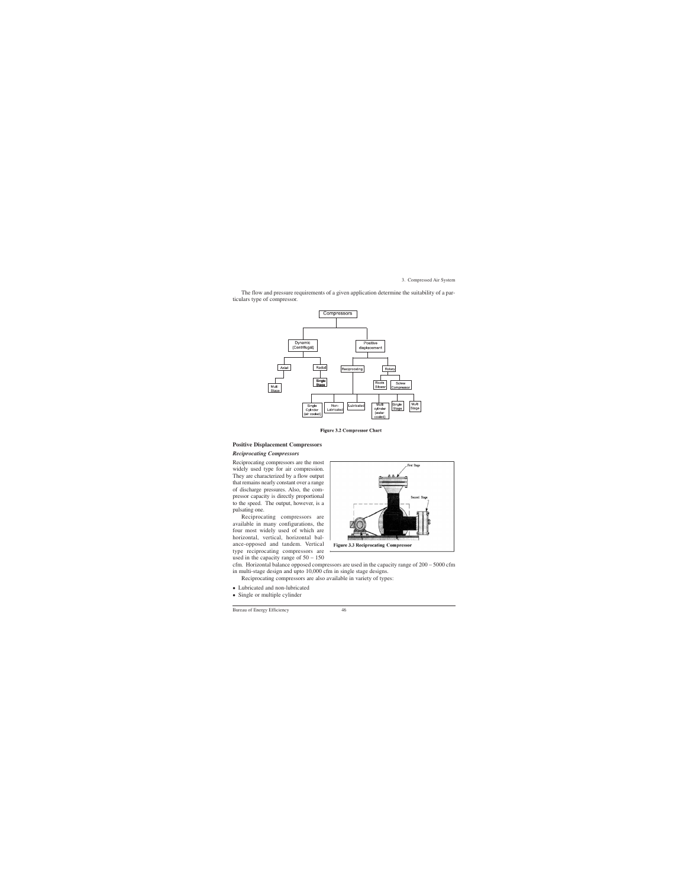The flow and pressure requirements of a given application determine the suitability of a particulars type of compressor.



**Figure 3.2 Compressor Chart** 

#### **Positive Displacement Compressors**

#### *Reciprocating Compressors*

Reciprocating compressors are the most widely used type for air compression. They are characterized by a flow output that remains nearly constant over a range of discharge pressures. Also, the compressor capacity is directly proportional to the speed. The output, however, is a pulsating one.

Reciprocating compressors are available in many configurations, the four most widely used of which are horizontal, vertical, horizontal balance-opposed and tandem. Vertical type reciprocating compressors are used in the capacity range of  $50 - 150$ 



cfm. Horizontal balance opposed compressors are used in the capacity range of 200 – 5000 cfm in multi-stage design and upto 10,000 cfm in single stage designs.

Reciprocating compressors are also available in variety of types:

- Lubricated and non-lubricated<br>• Single or multiple cylinder
- Single or multiple cylinder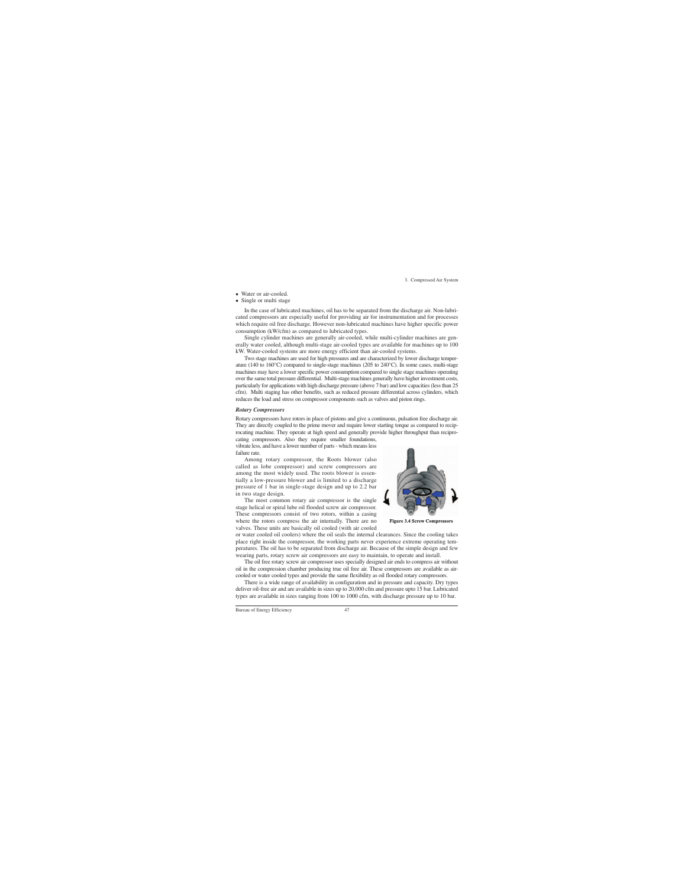- Water or air-cooled.
- Single or multi stage

In the case of lubricated machines, oil has to be separated from the discharge air. Non-lubricated compressors are especially useful for providing air for instrumentation and for processes which require oil free discharge. However non-lubricated machines have higher specific power consumption (kW/cfm) as compared to lubricated types.

Single cylinder machines are generally air-cooled, while multi-cylinder machines are generally water cooled, although multi-stage air-cooled types are available for machines up to 100 kW. Water-cooled systems are more energy efficient than air-cooled systems.

Two stage machines are used for high pressures and are characterized by lower discharge temperature (140 to 160°C) compared to single-stage machines (205 to 240°C). In some cases, multi-stage machines may have a lower specific power consumption compared to single stage machines operating over the same total pressure differential. Multi-stage machines generally have higher investment costs, particularly for applications with high discharge pressure (above 7 bar) and low capacities (less than 25 cfm). Multi staging has other benefits, such as reduced pressure differential across cylinders, which reduces the load and stress on compressor components such as valves and piston rings.

#### *Rotary Compressors*

Rotary compressors have rotors in place of pistons and give a continuous, pulsation free discharge air. They are directly coupled to the prime mover and require lower starting torque as compared to reciprocating machine. They operate at high speed and generally provide higher throughput than recipro-

cating compressors. Also they require smaller foundations, vibrate less, and have a lower number of parts - which means less failure rate.

Among rotary compressor, the Roots blower (also called as lobe compressor) and screw compressors are among the most widely used. The roots blower is essentially a low-pressure blower and is limited to a discharge pressure of 1 bar in single-stage design and up to 2.2 bar in two stage design.

The most common rotary air compressor is the single stage helical or spiral lube oil flooded screw air compressor. These compressors consist of two rotors, within a casing where the rotors compress the air internally. There are no valves. These units are basically oil cooled (with air cooled



**Figure 3.4 Screw Compressors** 

or water cooled oil coolers) where the oil seals the internal clearances. Since the cooling takes place right inside the compressor, the working parts never experience extreme operating temperatures. The oil has to be separated from discharge air. Because of the simple design and few wearing parts, rotary screw air compressors are easy to maintain, to operate and install.

The oil free rotary screw air compressor uses specially designed air ends to compress air without oil in the compression chamber producing true oil free air. These compressors are available as aircooled or water cooled types and provide the same flexibility as oil flooded rotary compressors.

There is a wide range of availability in configuration and in pressure and capacity. Dry types deliver oil-free air and are available in sizes up to 20,000 cfm and pressure upto 15 bar. Lubricated types are available in sizes ranging from 100 to 1000 cfm, with discharge pressure up to 10 bar.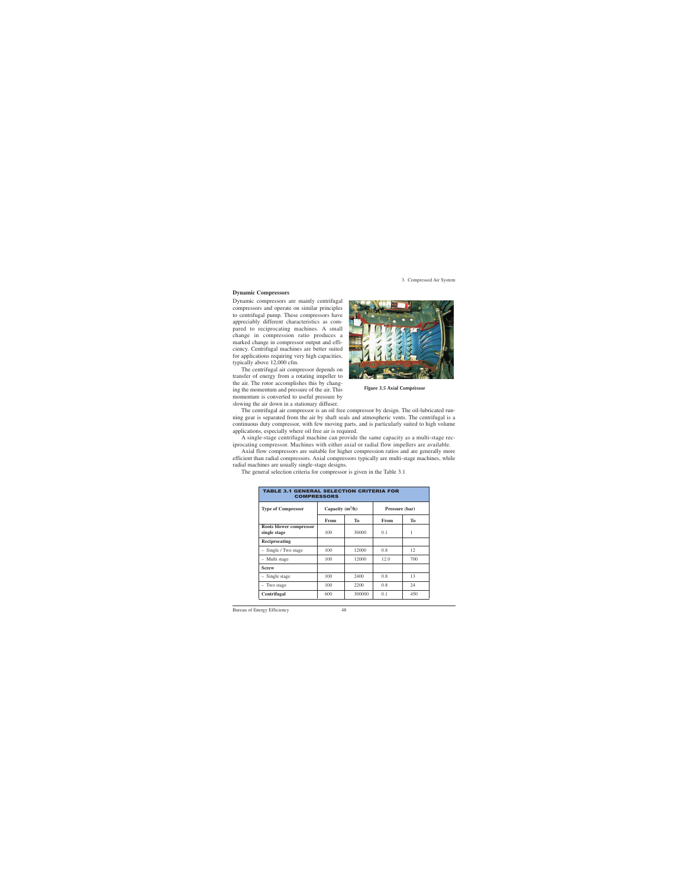#### **Dynamic Compressors**

Dynamic compressors are mainly centrifugal compressors and operate on similar principles to centrifugal pump. These compressors have appreciably different characteristics as compared to reciprocating machines. A small change in compression ratio produces a marked change in compressor output and efficiency. Centrifugal machines are better suited for applications requiring very high capacities, typically above 12,000 cfm.

The centrifugal air compressor depends on transfer of energy from a rotating impeller to the air. The rotor accomplishes this by changing the momentum and pressure of the air. This momentum is converted to useful pressure by slowing the air down in a stationary diffuser.



**Figure 3.5 Axial Compressor**

The centrifugal air compressor is an oil free compressor by design. The oil-lubricated running gear is separated from the air by shaft seals and atmospheric vents. The centrifugal is a continuous duty compressor, with few moving parts, and is particularly suited to high volume applications, especially where oil free air is required.

A single-stage centrifugal machine can provide the same capacity as a multi-stage reciprocating compressor. Machines with either axial or radial flow impellers are available.

Axial flow compressors are suitable for higher compression ratios and are generally more efficient than radial compressors. Axial compressors typically are multi-stage machines, while radial machines are usually single-stage designs.

The general selection criteria for compressor is given in the Table 3.1

| <b>TABLE 3.1 GENERAL SELECTION CRITERIA FOR</b><br><b>COMPRESSORS</b> |                    |           |                |     |  |
|-----------------------------------------------------------------------|--------------------|-----------|----------------|-----|--|
| <b>Type of Compressor</b>                                             | Capacity $(m^3/h)$ |           | Pressure (bar) |     |  |
|                                                                       | <b>From</b>        | <b>To</b> | From           | To  |  |
| Roots blower compressor<br>single stage                               | 100                | 30000     | 0.1            | 1   |  |
| Reciprocating                                                         |                    |           |                |     |  |
| - Single / Two stage                                                  | 100                | 12000     | 0.8            | 12  |  |
| - Multi stage                                                         | 100                | 12000     | 12.0           | 700 |  |
| <b>Screw</b>                                                          |                    |           |                |     |  |
| - Single stage                                                        | 100                | 2400      | 0.8            | 13  |  |
| Two stage                                                             | 100                | 2200      | 0.8            | 24  |  |
| Centrifugal                                                           | 600                | 300000    | 0.1            | 450 |  |

Bureau of Energy Efficiency 48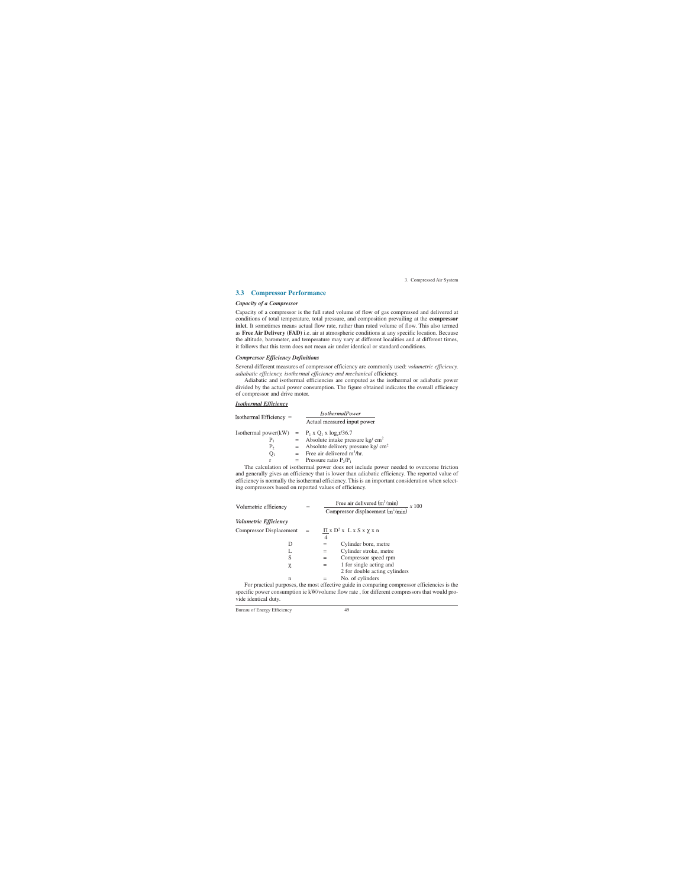## **3.3 Compressor Performance**

#### *Capacity of a Compressor*

Capacity of a compressor is the full rated volume of flow of gas compressed and delivered at conditions of total temperature, total pressure, and composition prevailing at the **compressor inlet**. It sometimes means actual flow rate, rather than rated volume of flow. This also termed as **Free Air Delivery (FAD)** i.e. air at atmospheric conditions at any specific location. Because the altitude, barometer, and temperature may vary at different localities and at different times, it follows that this term does not mean air under identical or standard conditions.

#### *Compressor Efficiency Definitions*

Several different measures of compressor efficiency are commonly used: *volumetric efficiency, adiabatic efficiency, isothermal efficiency and mechanical* efficiency.

Adiabatic and isothermal efficiencies are computed as the isothermal or adiabatic power divided by the actual power consumption. The figure obtained indicates the overall efficiency of compressor and drive motor.

#### *Isothermal Efficiency*

| Isothermal Efficiency $=$                          |  | <i>IsothermalPower</i>                             |
|----------------------------------------------------|--|----------------------------------------------------|
|                                                    |  | Actual measured input power                        |
| Isothermal power(kW) = $P_1 x Q_1 x \log_e r/36.7$ |  |                                                    |
| $P_{1}$                                            |  | $=$ Absolute intake pressure kg/ cm <sup>2</sup>   |
| $P_{2}$                                            |  | $=$ Absolute delivery pressure kg/ cm <sup>2</sup> |
|                                                    |  | $=$ Free air delivered m <sup>3</sup> /hr.         |
| r                                                  |  | = Pressure ratio $P_2/P_1$                         |

The calculation of isothermal power does not include power needed to overcome friction and generally gives an efficiency that is lower than adiabatic efficiency. The reported value of efficiency is normally the isothermal efficiency. This is an important consideration when selecting compressors based on reported values of efficiency.

| adiabatic efficiency, isothermal efficiency and mechanical efficiency. |       |                             |                                                                                      |  |  |
|------------------------------------------------------------------------|-------|-----------------------------|--------------------------------------------------------------------------------------|--|--|
|                                                                        |       |                             | Adiabatic and isothermal efficiencies are computed as the isothermal or adia         |  |  |
|                                                                        |       |                             | divided by the actual power consumption. The figure obtained indicates the overa     |  |  |
| of compressor and drive motor.                                         |       |                             |                                                                                      |  |  |
| <b>Isothermal Efficiency</b>                                           |       |                             |                                                                                      |  |  |
| Isothermal Efficiency =                                                |       |                             | <b>IsothermalPower</b>                                                               |  |  |
|                                                                        |       | Actual measured input power |                                                                                      |  |  |
| Isothermal power(kW) = $P_1 x Q_1 x \log_e r/36.7$                     |       |                             |                                                                                      |  |  |
| $P_1$                                                                  |       |                             | = Absolute intake pressure kg/ $\text{cm}^2$                                         |  |  |
|                                                                        |       |                             | $P_2$ = Absolute delivery pressure kg/ cm <sup>2</sup>                               |  |  |
| $Q_1$ and $Q_2$                                                        |       |                             | $=$ Free air delivered m <sup>3</sup> /hr.                                           |  |  |
| r<br>$=$                                                               |       | Pressure ratio $P_2/P_1$    |                                                                                      |  |  |
|                                                                        |       |                             | The calculation of isothermal power does not include power needed to overc           |  |  |
|                                                                        |       |                             | and generally gives an efficiency that is lower than adiabatic efficiency. The repor |  |  |
|                                                                        |       |                             | efficiency is normally the isothermal efficiency. This is an important consideration |  |  |
| ing compressors based on reported values of efficiency.                |       |                             |                                                                                      |  |  |
|                                                                        |       |                             |                                                                                      |  |  |
|                                                                        |       |                             |                                                                                      |  |  |
| Volumetric efficiency                                                  | $=$   |                             | Free air delivered $(m^3/min)$<br>Compressor displacement $(m^3/min)$<br>$-x$ 100    |  |  |
|                                                                        |       |                             |                                                                                      |  |  |
| Volumetric Efficiency                                                  |       |                             |                                                                                      |  |  |
| <b>Compressor Displacement</b>                                         | $\!=$ |                             | $\Pi x D^2 x L x S x \chi x n$                                                       |  |  |
|                                                                        |       | $\overline{4}$              |                                                                                      |  |  |
| D                                                                      |       | $=$                         | Cylinder bore, metre                                                                 |  |  |
| L                                                                      |       | $=$ $\qquad$                | Cylinder stroke, metre                                                               |  |  |
| S                                                                      |       | $=$ $-$                     | Compressor speed rpm                                                                 |  |  |
| $\chi$                                                                 |       | $=$                         | 1 for single acting and                                                              |  |  |
|                                                                        |       |                             | 2 for double acting cylinders                                                        |  |  |
| $\mathbf n$                                                            |       | $=$                         | No. of cylinders                                                                     |  |  |
|                                                                        |       |                             | For program purposes the most effective quide in comparing compressor effici         |  |  |

For practical purposes, the most effective guide in comparing compressor efficiencies is the specific power consumption ie kW/volume flow rate , for different compressors that would provide identical duty.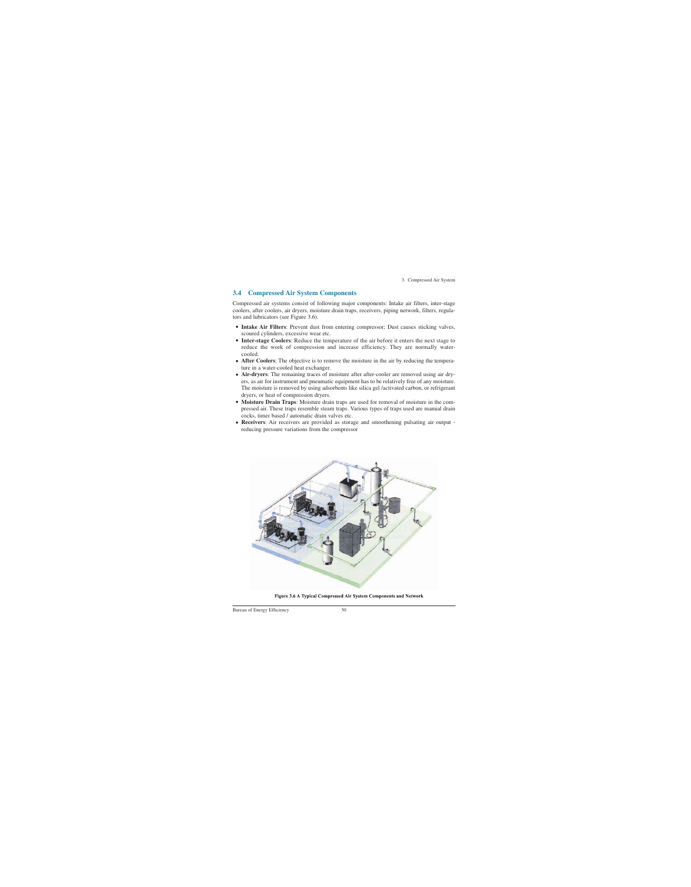## **3.4 Compressed Air System Components**

Compressed air systems consist of following major components: Intake air filters, inter-stage coolers, after coolers, air dryers, moisture drain traps, receivers, piping network, filters, regulators and lubricators (see Figure 3.6).

- **Intake Air Filters**: Prevent dust from entering compressor; Dust causes sticking valves, scoured cylinders, excessive wear etc.
- **Inter-stage Coolers**: Reduce the temperature of the air before it enters the next stage to reduce the work of compression and increase efficiency. They are normally watercooled.
- After Coolers: The objective is to remove the moisture in the air by reducing the temperature in a water-cooled heat exchanger.
- **Air-dryers**: The remaining traces of moisture after after-cooler are removed using air dryers, as air for instrument and pneumatic equipment has to be relatively free of any moisture. The moisture is removed by using adsorbents like silica gel /activated carbon, or refrigerant dryers, or heat of compression dryers.
- **Moisture Drain Traps**: Moisture drain traps are used for removal of moisture in the compressed air. These traps resemble steam traps. Various types of traps used are manual drain cocks, timer based / automatic drain valves etc.
- **Receivers**: Air receivers are provided as storage and smoothening pulsating air output reducing pressure variations from the compressor



Figure 3.6 A Typical Compressed Air System Components and Network

Bureau of Energy Efficiency 50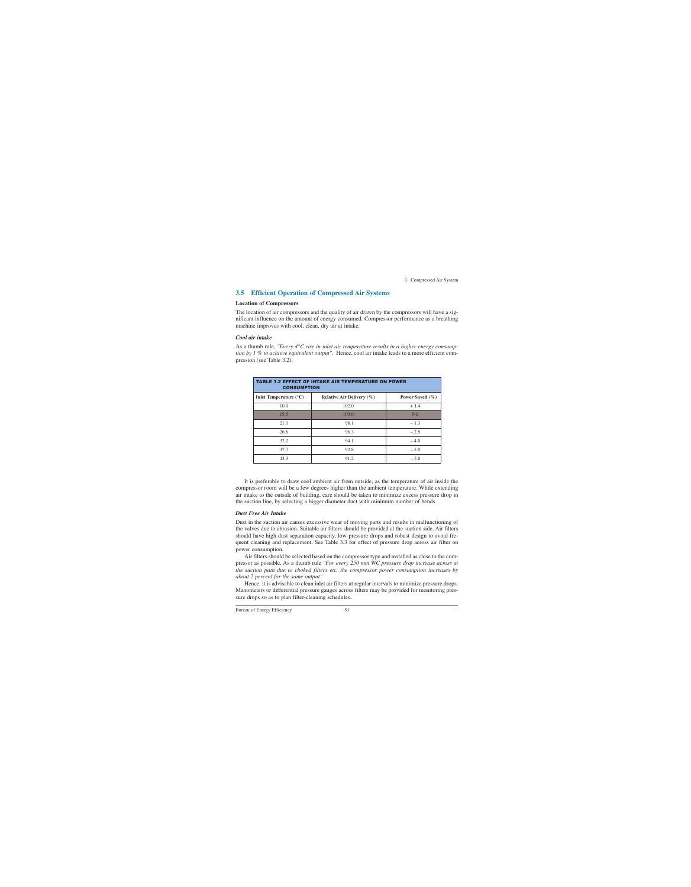## **3.5 Efficient Operation of Compressed Air Systems**

#### **Location of Compressors**

The location of air compressors and the quality of air drawn by the compressors will have a significant influence on the amount of energy consumed. Compressor performance as a breathing machine improves with cool, clean, dry air at intake.

#### *Cool air intake*

As a thumb rule, *"Every 4°C rise in inlet air temperature results in a higher energy consumption by 1 % to achieve equivalent output"*. Hence, cool air intake leads to a more efficient compression (see Table 3.2).

| <b>TABLE 3.2 EFFECT OF INTAKE AIR TEMPERATURE ON POWER</b><br><b>CONSUMPTION</b> |                               |                     |  |  |  |
|----------------------------------------------------------------------------------|-------------------------------|---------------------|--|--|--|
| Inlet Temperature $(^{\circ}C)$                                                  | Relative Air Delivery $(\% )$ | Power Saved $(\% )$ |  |  |  |
| 10.0                                                                             | 102.0                         | $+1.4$              |  |  |  |
| 15.5                                                                             | 100.0                         | <b>Nil</b>          |  |  |  |
| 21.1                                                                             | 98.1                          | $-1.3$              |  |  |  |
| 26.6                                                                             | 96.3                          | $-2.5$              |  |  |  |
| 32.2                                                                             | 94.1                          | $-4.0$              |  |  |  |
| 37.7                                                                             | 92.8                          | $-5.0$              |  |  |  |
| 43.3                                                                             | 91.2                          | $-5.8$              |  |  |  |

It is preferable to draw cool ambient air from outside, as the temperature of air inside the compressor room will be a few degrees higher than the ambient temperature. While extending air intake to the outside of building, care should be taken to minimize excess pressure drop in the suction line, by selecting a bigger diameter duct with minimum number of bends.

### *Dust Free Air Intake*

Dust in the suction air causes excessive wear of moving parts and results in malfunctioning of the valves due to abrasion. Suitable air filters should be provided at the suction side. Air filters should have high dust separation capacity, low-pressure drops and robust design to avoid frequent cleaning and replacement. See Table 3.3 for effect of pressure drop across air filter on power consumption.

Air filters should be selected based on the compressor type and installed as close to the compressor as possible. As a thumb rule *"For every 250 mm WC pressure drop increase across at the suction path due to choked filters etc, the compressor power consumption increases by about 2 percent for the same output"* 

Hence, it is advisable to clean inlet air filters at regular intervals to minimize pressure drops. Manometers or differential pressure gauges across filters may be provided for monitoring pressure drops so as to plan filter-cleaning schedules.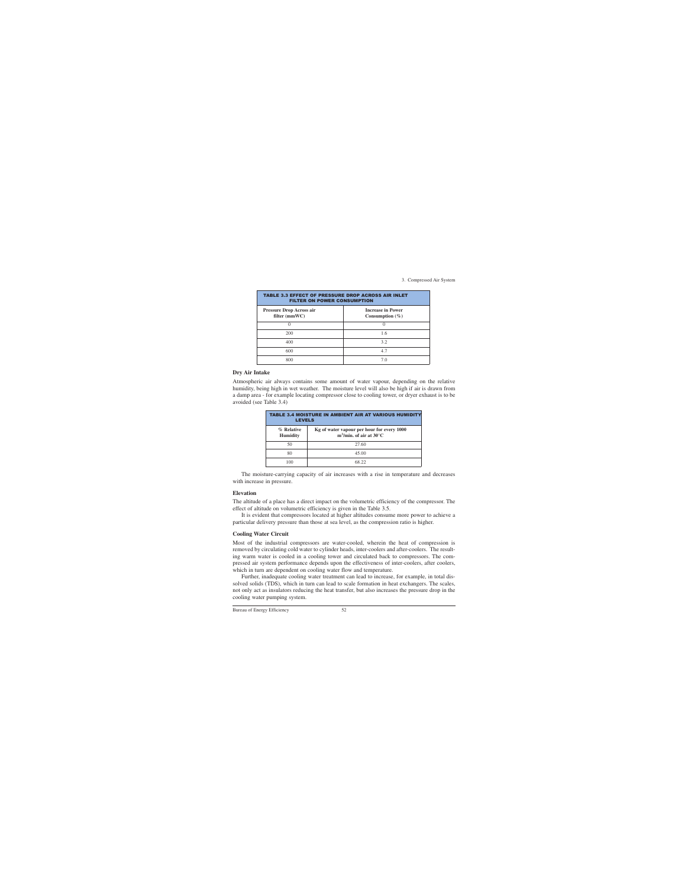| <b>TABLE 3.3 EFFECT OF PRESSURE DROP ACROSS AIR INLET</b><br><b>FILTER ON POWER CONSUMPTION</b> |                                                 |  |  |  |
|-------------------------------------------------------------------------------------------------|-------------------------------------------------|--|--|--|
| <b>Pressure Drop Across air</b><br>filter (mmWC)                                                | <b>Increase in Power</b><br>Consumption $(\% )$ |  |  |  |
|                                                                                                 |                                                 |  |  |  |
| 200                                                                                             | 1.6                                             |  |  |  |
| 400                                                                                             | 3.2                                             |  |  |  |
| 600                                                                                             | 4.7                                             |  |  |  |
| 800                                                                                             | 7.0                                             |  |  |  |

#### **Dry Air Intake**

Atmospheric air always contains some amount of water vapour, depending on the relative humidity, being high in wet weather. The moisture level will also be high if air is drawn from a damp area - for example locating compressor close to cooling tower, or dryer exhaust is to be avoided (see Table 3.4)

| <b>TABLE 3.4 MOISTURE IN AMBIENT AIR AT VARIOUS HUMIDITY</b><br><b>LEVELS</b> |                                                                                             |  |  |
|-------------------------------------------------------------------------------|---------------------------------------------------------------------------------------------|--|--|
| % Relative<br><b>Humidity</b>                                                 | Kg of water vapour per hour for every 1000<br>m <sup>3</sup> /min. of air at $30^{\circ}$ C |  |  |
| 50                                                                            | 27.60                                                                                       |  |  |
| 80                                                                            | 45.00                                                                                       |  |  |
| 100                                                                           | 68 77                                                                                       |  |  |

The moisture-carrying capacity of air increases with a rise in temperature and decreases with increase in pressure.

#### **Elevation**

The altitude of a place has a direct impact on the volumetric efficiency of the compressor. The effect of altitude on volumetric efficiency is given in the Table 3.5.

It is evident that compressors located at higher altitudes consume more power to achieve a particular delivery pressure than those at sea level, as the compression ratio is higher.

#### **Cooling Water Circuit**

Most of the industrial compressors are water-cooled, wherein the heat of compression is removed by circulating cold water to cylinder heads, inter-coolers and after-coolers. The resulting warm water is cooled in a cooling tower and circulated back to compressors. The compressed air system performance depends upon the effectiveness of inter-coolers, after coolers, which in turn are dependent on cooling water flow and temperature.

Further, inadequate cooling water treatment can lead to increase, for example, in total dissolved solids (TDS), which in turn can lead to scale formation in heat exchangers. The scales, not only act as insulators reducing the heat transfer, but also increases the pressure drop in the cooling water pumping system.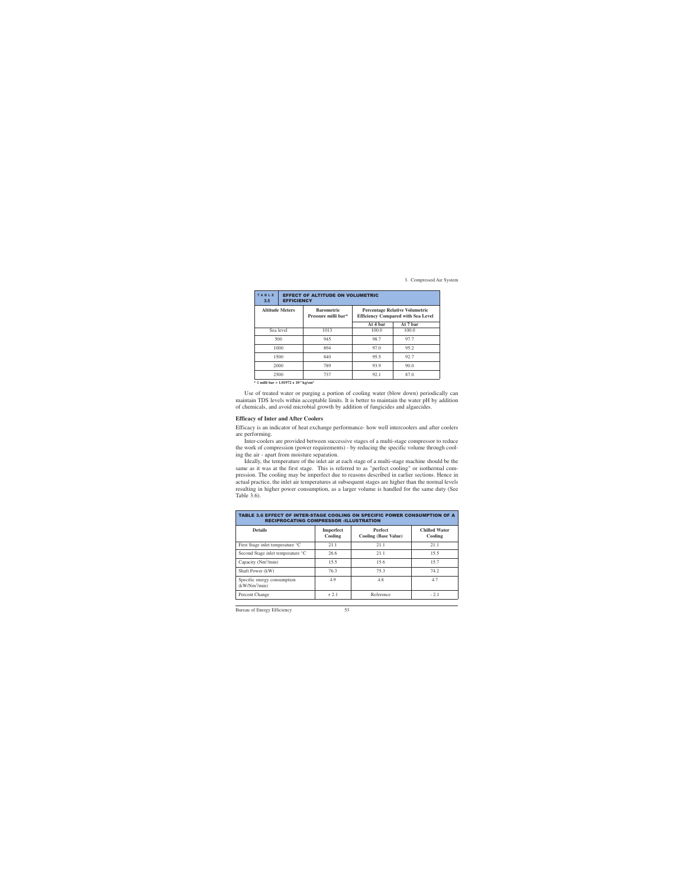| TABLE<br>3.5 | <b>EFFECT OF ALTITUDE ON VOLUMETRIC</b><br><b>EFFICIENCY</b> |                                          |                                                                                    |          |  |
|--------------|--------------------------------------------------------------|------------------------------------------|------------------------------------------------------------------------------------|----------|--|
|              | <b>Altitude Meters</b>                                       | <b>Barometric</b><br>Pressure milli bar* | <b>Percentage Relative Volumetric</b><br><b>Efficiency Compared with Sea Level</b> |          |  |
|              |                                                              |                                          | At 4 bar                                                                           | At 7 bar |  |
|              | Sea level                                                    | 1013                                     | 100.0                                                                              | 100.0    |  |
|              | 500                                                          | 945                                      | 98.7                                                                               | 97.7     |  |
|              | 1000                                                         | 894                                      | 97.0                                                                               | 95.2     |  |
|              | 1500                                                         | 840                                      | 95.5                                                                               | 92.7     |  |
| 2000         |                                                              | 789                                      | 93.9                                                                               | 90.0     |  |
| 2500         |                                                              | 737                                      | 92.1                                                                               | 87.0     |  |

**\* 1 milli bar = 1.01972 x 10-3 kg/cm2**

Use of treated water or purging a portion of cooling water (blow down) periodically can maintain TDS levels within acceptable limits. It is better to maintain the water pH by addition of chemicals, and avoid microbial growth by addition of fungicides and algaecides.

#### **Efficacy of Inter and After Coolers**

Efficacy is an indicator of heat exchange performance- how well intercoolers and after coolers are performing.

Inter-coolers are provided between successive stages of a multi-stage compressor to reduce the work of compression (power requirements) - by reducing the specific volume through cooling the air - apart from moisture separation.

Ideally, the temperature of the inlet air at each stage of a multi-stage machine should be the same as it was at the first stage. This is referred to as "perfect cooling" or isothermal compression. The cooling may be imperfect due to reasons described in earlier sections. Hence in actual practice, the inlet air temperatures at subsequent stages are higher than the normal levels resulting in higher power consumption, as a larger volume is handled for the same duty (See Table 3.6).

| TABLE 3.6 EFFECT OF INTER-STAGE COOLING ON SPECIFIC POWER CONSUMPTION OF A<br><b>RECIPROCATING COMPRESSOR -ILLUSTRATION</b> |                             |                                               |                                 |  |  |  |
|-----------------------------------------------------------------------------------------------------------------------------|-----------------------------|-----------------------------------------------|---------------------------------|--|--|--|
| <b>Details</b>                                                                                                              | <b>Imperfect</b><br>Cooling | <b>Perfect</b><br><b>Cooling (Base Value)</b> | <b>Chilled Water</b><br>Cooling |  |  |  |
| First Stage inlet temperature °C                                                                                            | 21.1                        | 21.1                                          | 21.1                            |  |  |  |
| Second Stage inlet temperature °C                                                                                           | 26.6                        | 21.1                                          | 15.5                            |  |  |  |
| Capacity (Nm <sup>3</sup> /min)                                                                                             | 15.5                        | 15.6                                          | 15.7                            |  |  |  |
| Shaft Power (kW)                                                                                                            | 76.3                        | 75.3                                          | 74.2                            |  |  |  |
| Specific energy consumption<br>(kW/Nm <sup>3</sup> /min)                                                                    | 4.9                         | 4.8                                           | 4.7                             |  |  |  |
| Percent Change                                                                                                              | $+2.1$                      | Reference                                     | $-2.1$                          |  |  |  |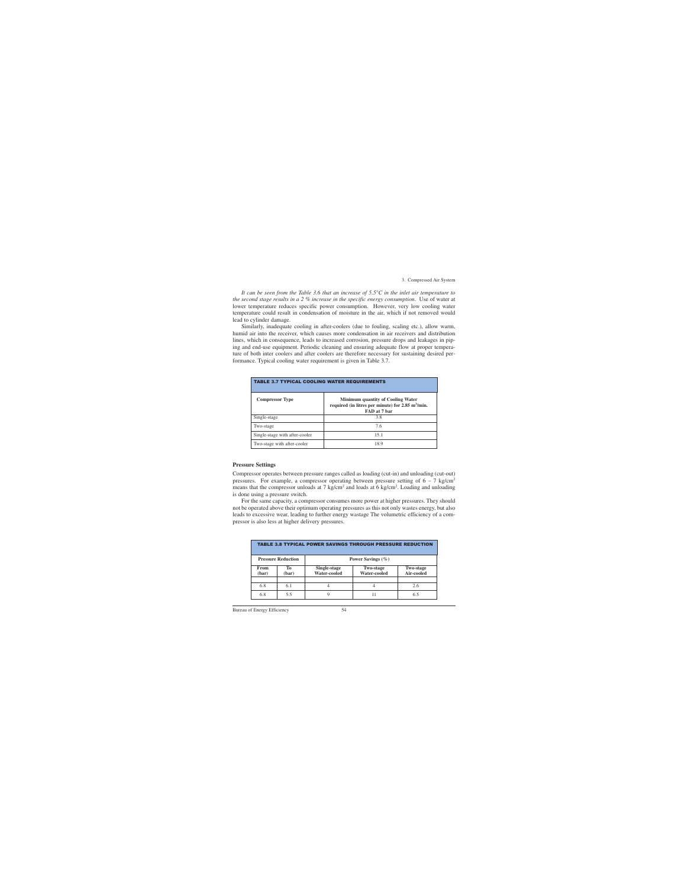*It can be seen from the Table 3.6 that an increase of 5.5°C in the inlet air temperature to the second stage results in a 2 % increase in the specific energy consumption*. Use of water at lower temperature reduces specific power consumption. However, very low cooling water temperature could result in condensation of moisture in the air, which if not removed would lead to cylinder damage.

Similarly, inadequate cooling in after-coolers (due to fouling, scaling etc.), allow warm, humid air into the receiver, which causes more condensation in air receivers and distribution lines, which in consequence, leads to increased corrosion, pressure drops and leakages in piping and end-use equipment. Periodic cleaning and ensuring adequate flow at proper temperature of both inter coolers and after coolers are therefore necessary for sustaining desired performance. Typical cooling water requirement is given in Table 3.7.

| <b>TABLE 3.7 TYPICAL COOLING WATER REQUIREMENTS</b> |                                                                                                                           |  |  |  |
|-----------------------------------------------------|---------------------------------------------------------------------------------------------------------------------------|--|--|--|
| <b>Compressor Type</b>                              | <b>Minimum quantity of Cooling Water</b><br>required (in litres per minute) for 2.85 m <sup>3</sup> /min.<br>FAD at 7 bar |  |  |  |
| Single-stage                                        | 3.8                                                                                                                       |  |  |  |
| Two-stage                                           | 7.6                                                                                                                       |  |  |  |
| Single-stage with after-cooler                      | 15.1                                                                                                                      |  |  |  |
| Two-stage with after-cooler                         | 18.9                                                                                                                      |  |  |  |

#### **Pressure Settings**

Compressor operates between pressure ranges called as loading (cut-in) and unloading (cut-out) pressures. For example, a compressor operating between pressure setting of  $6 - 7$  kg/cm<sup>2</sup> means that the compressor unloads at 7 kg/cm<sup>2</sup> and loads at 6 kg/cm<sup>2</sup>. Loading and unloading is done using a pressure switch.

For the same capacity, a compressor consumes more power at higher pressures. They should not be operated above their optimum operating pressures as this not only wastes energy, but also leads to excessive wear, leading to further energy wastage The volumetric efficiency of a compressor is also less at higher delivery pressures.

| <b>TABLE 3.8 TYPICAL POWER SAVINGS THROUGH PRESSURE REDUCTION</b> |                           |                                                                                                           |                       |     |  |
|-------------------------------------------------------------------|---------------------------|-----------------------------------------------------------------------------------------------------------|-----------------------|-----|--|
|                                                                   | <b>Pressure Reduction</b> |                                                                                                           | Power Savings $(\% )$ |     |  |
| From<br>(bar)                                                     | Tо<br>(bar)               | Single-stage<br><b>Two-stage</b><br><b>Two-stage</b><br><b>Water-cooled</b><br>Air-cooled<br>Water-cooled |                       |     |  |
| 6.8                                                               | 6.1                       | 4                                                                                                         | 4                     | 2.6 |  |
| 6.8                                                               | 5.5                       | 9                                                                                                         |                       | 6.5 |  |

Bureau of Energy Efficiency 54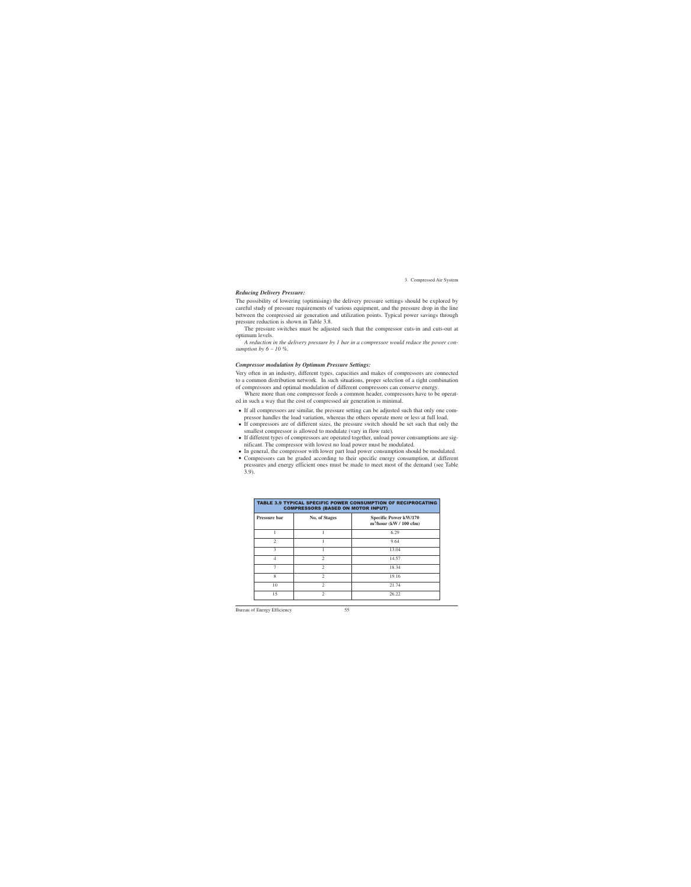#### *Reducing Delivery Pressure:*

The possibility of lowering (optimising) the delivery pressure settings should be explored by careful study of pressure requirements of various equipment, and the pressure drop in the line between the compressed air generation and utilization points. Typical power savings through pressure reduction is shown in Table 3.8.

The pressure switches must be adjusted such that the compressor cuts-in and cuts-out at optimum levels.

*A reduction in the delivery pressure by 1 bar in a compressor would reduce the power consumption by 6 – 10 %.* 

#### *Compressor modulation by Optimum Pressure Settings:*

Very often in an industry, different types, capacities and makes of compressors are connected to a common distribution network. In such situations, proper selection of a right combination of compressors and optimal modulation of different compressors can conserve energy.

Where more than one compressor feeds a common header, compressors have to be operated in such a way that the cost of compressed air generation is minimal.

- If all compressors are similar, the pressure setting can be adjusted such that only one compressor handles the load variation, whereas the others operate more or less at full load.
- If compressors are of different sizes, the pressure switch should be set such that only the smallest compressor is allowed to modulate (vary in flow rate).
- If different types of compressors are operated together, unload power consumptions are significant. The compressor with lowest no load power must be modulated.
- In general, the compressor with lower part load power consumption should be modulated.
- Compressors can be graded according to their specific energy consumption, at different pressures and energy efficient ones must be made to meet most of the demand (see Table 3.9).

| TABLE 3.9 TYPICAL SPECIFIC POWER CONSUMPTION OF RECIPROCATING<br><b>COMPRESSORS (BASED ON MOTOR INPUT)</b> |                             |                                                           |  |  |
|------------------------------------------------------------------------------------------------------------|-----------------------------|-----------------------------------------------------------|--|--|
| <b>Pressure bar</b>                                                                                        | <b>No. of Stages</b>        | <b>Specific Power kW/170</b><br>$m^3/hour$ (kW / 100 cfm) |  |  |
|                                                                                                            |                             | 6.29                                                      |  |  |
| 2                                                                                                          |                             | 9.64                                                      |  |  |
| 3                                                                                                          |                             | 13.04                                                     |  |  |
| 4                                                                                                          | $\mathfrak{D}$              | 14.57                                                     |  |  |
| 7                                                                                                          | $\mathfrak{D}$              | 18.34                                                     |  |  |
| 8                                                                                                          | $\mathcal{D}_{\mathcal{L}}$ | 19.16                                                     |  |  |
| 10                                                                                                         | $\mathfrak{D}$              | 21.74                                                     |  |  |
| 15                                                                                                         | $\mathfrak{D}$              | 26.22                                                     |  |  |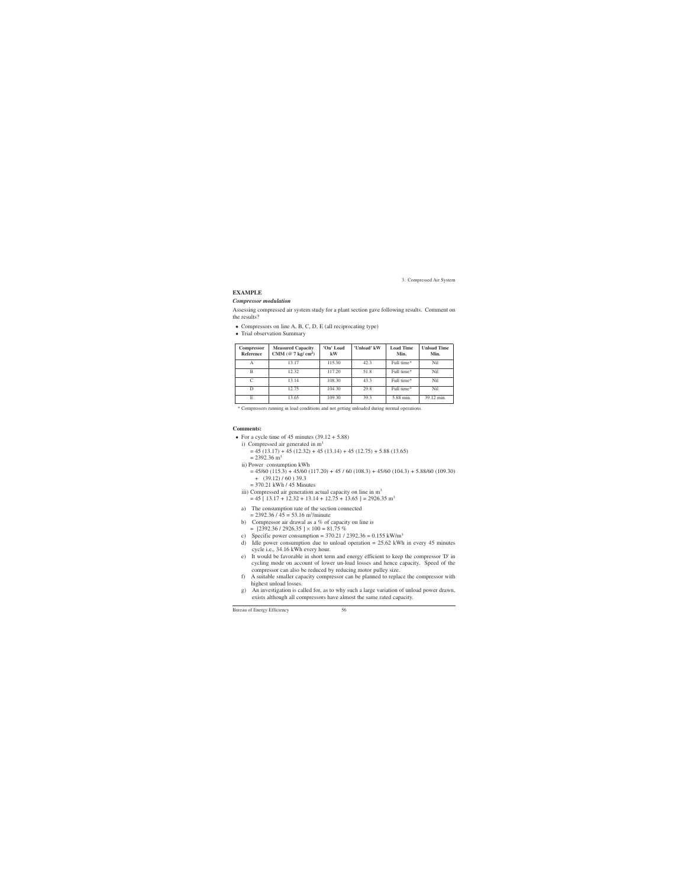### **EXAMPLE**

#### *Compressor modulation*

Assessing compressed air system study for a plant section gave following results. Comment on the results?

- Compressors on line A, B, C, D, E (all reciprocating type)
- Trial observation Summary

| <b>Compressor</b><br><b>Reference</b> | <b>Measured Capacity</b><br>CMM ( $@$ 7 kg/ cm <sup>2</sup> ) | 'On' Load<br>kW | 'Unload' kW | <b>Load Time</b><br>Min. | <b>Unload Time</b><br>Min. |
|---------------------------------------|---------------------------------------------------------------|-----------------|-------------|--------------------------|----------------------------|
| А                                     | 13.17                                                         | 115.30          | 42.3        | Full time*               | Nil                        |
| B                                     | 12.32                                                         | 117.20          | 51.8        | Full time*               | Nil                        |
| C                                     | 13.14                                                         | 108.30          | 43.3        | Full time*               | Nil                        |
| D                                     | 12.75                                                         | 104.30          | 29.8        | Full time*               | Nil                        |
| E                                     | 13.65                                                         | 109.30          | 39.3        | 5.88 min.                | 39.12 min.                 |

\* Compressors running in load conditions and not getting unloaded during normal operations.

## **Comments:**

- For a cycle time of 45 minutes  $(39.12 + 5.88)$ 
	- i) Compressed air generated in  $m<sup>3</sup>$  $= 45 (13.17) + 45 (12.32) + 45 (13.14) + 45 (12.75) + 5.88 (13.65)$  $= 2392.36$  m<sup>3</sup>
	- ii) Power consumption kWh  $= 45/60 (115.3) + 45/60 (117.20) + 45 / 60 (108.3) + 45/60 (104.3) + 5.88/60 (109.30)$  $+$  (39.12) / 60) 39.3
		- $= 370.21$  kWh / 45 Minutes
	- iii) Compressed air generation actual capacity on line in  $m<sup>3</sup>$  $= 45$  [ 13.17 + 12.32 + 13.14 + 12.75 + 13.65 ] = 2926.35 m<sup>3</sup>
	- a) The consumption rate of the section connected  $= 2392.36 / 45 = 53.16$  m<sup>3</sup>/minute
	- b) Compressor air drawal as a  $%$  of capacity on line is  $=$  [2392.36 / 2926.35 ]  $\times$  100  $=$  81.75 %
	- c) Specific power consumption =  $370.21 / 2392.36 = 0.155 \text{ kW/m}^3$
	- d) Idle power consumption due to unload operation = 25.62 kWh in every 45 minutes cycle i.e., 34.16 kWh every hour.
	- e) It would be favorable in short term and energy efficient to keep the compressor 'D' in cycling mode on account of lower un-load losses and hence capacity. Speed of the compressor can also be reduced by reducing motor pulley size.
	- f) A suitable smaller capacity compressor can be planned to replace the compressor with highest unload losses.
	- g) An investigation is called for, as to why such a large variation of unload power drawn, exists although all compressors have almost the same rated capacity.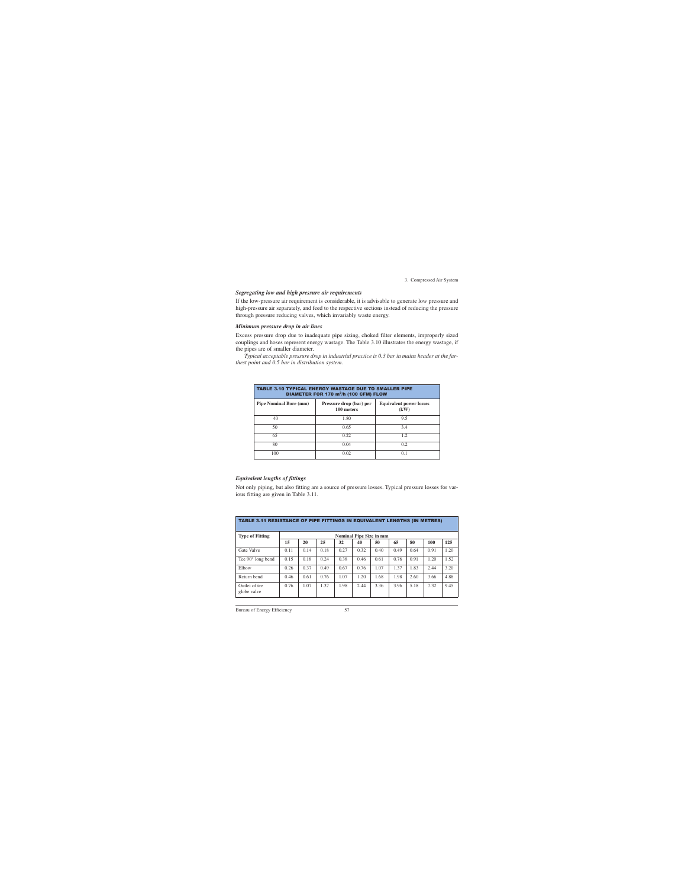#### *Segregating low and high pressure air requirements*

If the low-pressure air requirement is considerable, it is advisable to generate low pressure and high-pressure air separately, and feed to the respective sections instead of reducing the pressure through pressure reducing valves, which invariably waste energy.

#### *Minimum pressure drop in air lines*

Excess pressure drop due to inadequate pipe sizing, choked filter elements, improperly sized couplings and hoses represent energy wastage. The Table 3.10 illustrates the energy wastage, if the pipes are of smaller diameter.

*Typical acceptable pressure drop in industrial practice is 0.3 bar in mains header at the farthest point and 0.5 bar in distribution system.*

| <b>TABLE 3.10 TYPICAL ENERGY WASTAGE DUE TO SMALLER PIPE</b><br>DIAMETER FOR 170 m <sup>3</sup> /h (100 CFM) FLOW |                                       |                                        |  |  |  |
|-------------------------------------------------------------------------------------------------------------------|---------------------------------------|----------------------------------------|--|--|--|
| <b>Pipe Nominal Bore (mm)</b>                                                                                     | Pressure drop (bar) per<br>100 meters | <b>Equivalent power losses</b><br>(kW) |  |  |  |
| 40                                                                                                                | 1.80                                  | 9.5                                    |  |  |  |
| 50                                                                                                                | 0.65                                  | 3.4                                    |  |  |  |
| 65                                                                                                                | 0.22                                  | 1.2                                    |  |  |  |
| 80                                                                                                                | 0.04                                  | 0.2                                    |  |  |  |
| 100                                                                                                               | 0.02                                  | 0.1                                    |  |  |  |

### *Equivalent lengths of fittings*

Not only piping, but also fitting are a source of pressure losses. Typical pressure losses for various fitting are given in Table 3.11.

| <b>TABLE 3.11 RESISTANCE OF PIPE FITTINGS IN EQUIVALENT LENGTHS (IN METRES)</b> |      |      |      |      |                                |      |      |      |      |      |
|---------------------------------------------------------------------------------|------|------|------|------|--------------------------------|------|------|------|------|------|
| <b>Type of Fitting</b>                                                          |      |      |      |      | <b>Nominal Pipe Size in mm</b> |      |      |      |      |      |
|                                                                                 | 15   | 20   | 25   | 32   | 40                             | 50   | 65   | 80   | 100  | 125  |
| Gate Valve                                                                      | 0.11 | 0.14 | 0.18 | 0.27 | 0.32                           | 0.40 | 0.49 | 0.64 | 0.91 | 1.20 |
| Tee 90° long bend                                                               | 0.15 | 0.18 | 0.24 | 0.38 | 0.46                           | 0.61 | 0.76 | 0.91 | 1.20 | 1.52 |
| Elbow                                                                           | 0.26 | 0.37 | 0.49 | 0.67 | 0.76                           | 1.07 | 1.37 | 1.83 | 2.44 | 3.20 |
| Return bend                                                                     | 0.46 | 0.61 | 0.76 | 1.07 | 1.20                           | 1.68 | 1.98 | 2.60 | 3.66 | 4.88 |
| Outlet of tee<br>globe valve                                                    | 0.76 | 1.07 | 1.37 | 1.98 | 2.44                           | 3.36 | 3.96 | 5.18 | 7.32 | 9.45 |

Bureau of Energy Efficiency 57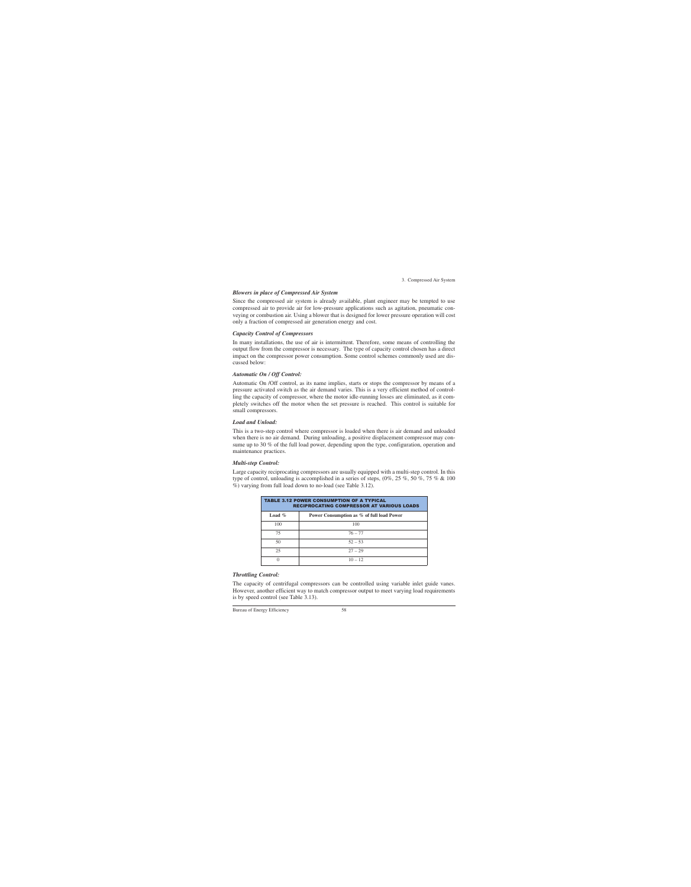#### *Blowers in place of Compressed Air System*

Since the compressed air system is already available, plant engineer may be tempted to use compressed air to provide air for low-pressure applications such as agitation, pneumatic conveying or combustion air. Using a blower that is designed for lower pressure operation will cost only a fraction of compressed air generation energy and cost.

#### *Capacity Control of Compressors*

In many installations, the use of air is intermittent. Therefore, some means of controlling the output flow from the compressor is necessary. The type of capacity control chosen has a direct impact on the compressor power consumption. Some control schemes commonly used are discussed below:

#### *Automatic On / Off Control:*

Automatic On /Off control, as its name implies, starts or stops the compressor by means of a pressure activated switch as the air demand varies. This is a very efficient method of controlling the capacity of compressor, where the motor idle-running losses are eliminated, as it completely switches off the motor when the set pressure is reached. This control is suitable for small compressors.

### *Load and Unload:*

This is a two-step control where compressor is loaded when there is air demand and unloaded when there is no air demand. During unloading, a positive displacement compressor may consume up to 30 % of the full load power, depending upon the type, configuration, operation and maintenance practices.

#### *Multi-step Control:*

Large capacity reciprocating compressors are usually equipped with a multi-step control. In this type of control, unloading is accomplished in a series of steps,  $(0\%, 25\%, 50\%, 75\% \& 100)$ %) varying from full load down to no-load (see Table 3.12).

| <b>TABLE 3.12 POWER CONSUMPTION OF A TYPICAL</b><br><b>RECIPROCATING COMPRESSOR AT VARIOUS LOADS</b> |                                           |  |  |  |
|------------------------------------------------------------------------------------------------------|-------------------------------------------|--|--|--|
| Load $\%$                                                                                            | Power Consumption as % of full load Power |  |  |  |
| 100                                                                                                  | 100                                       |  |  |  |
| 75                                                                                                   | $76 - 77$                                 |  |  |  |
| 50                                                                                                   | $52 - 53$                                 |  |  |  |
| 25                                                                                                   | $27 - 29$                                 |  |  |  |
|                                                                                                      | $10 - 12$                                 |  |  |  |

### *Throttling Control:*

The capacity of centrifugal compressors can be controlled using variable inlet guide vanes. However, another efficient way to match compressor output to meet varying load requirements is by speed control (see Table 3.13).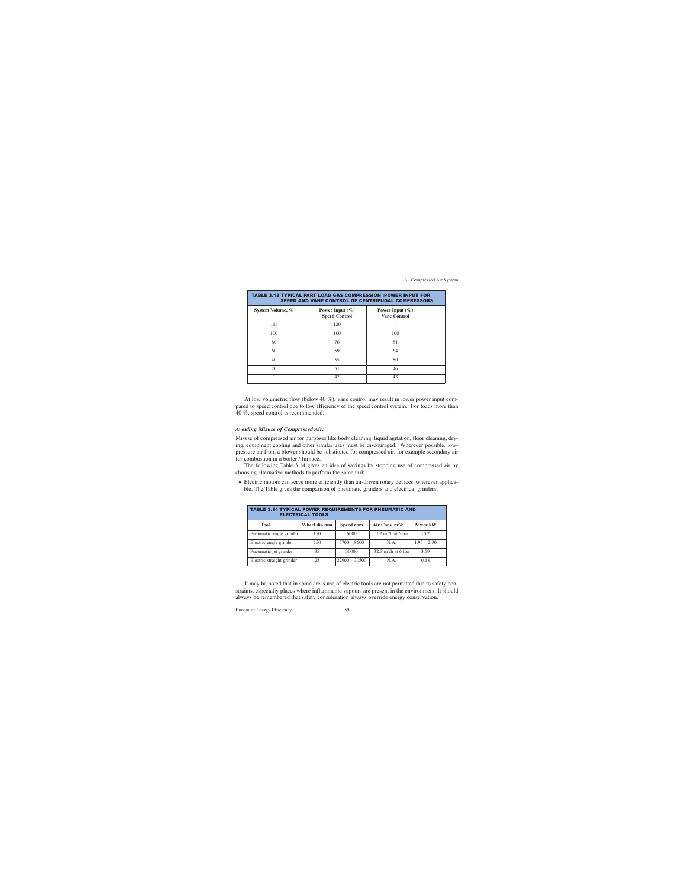| TABLE 3.13 TYPICAL PART LOAD GAS COMPRESSION :POWER INPUT FOR<br><b>SPEED AND VANE CONTROL OF CENTRIFUGAL COMPRESSORS</b> |                                             |                                            |  |  |
|---------------------------------------------------------------------------------------------------------------------------|---------------------------------------------|--------------------------------------------|--|--|
| System Volume, %                                                                                                          | Power Input $(\% )$<br><b>Speed Control</b> | Power Input $(\% )$<br><b>Vane Control</b> |  |  |
| 111                                                                                                                       | 120                                         |                                            |  |  |
| 100                                                                                                                       | 100                                         | 100                                        |  |  |
| 80                                                                                                                        | 76                                          | 81                                         |  |  |
| 60                                                                                                                        | 59                                          | 64                                         |  |  |
| 40                                                                                                                        | 55                                          | 50                                         |  |  |
| 20                                                                                                                        | 51                                          | 46                                         |  |  |
| 0                                                                                                                         | 47                                          | 43                                         |  |  |

At low volumetric flow (below 40 %), vane control may result in lower power input compared to speed control due to low efficiency of the speed control system. For loads more than 40 %, speed control is recommended.

#### *Avoiding Misuse of Compressed Air:*

Misuse of compressed air for purposes like body cleaning, liquid agitation, floor cleaning, drying, equipment cooling and other similar uses must be discouraged. Wherever possible, lowpressure air from a blower should be substituted for compressed air, for example secondary air for combustion in a boiler / furnace.

The following Table 3.14 gives an idea of savings by stopping use of compressed air by choosing alternative methods to perform the same task.

• Electric motors can serve more efficiently than air-driven rotary devices, wherever applicable. The Table gives the comparison of pneumatic grinders and electrical grinders.

| <b>TABLE 3.14 TYPICAL POWER REQUIREMENTS FOR PNEUMATIC AND</b><br><b>ELECTRICAL TOOLS</b> |              |                 |                                      |               |  |  |
|-------------------------------------------------------------------------------------------|--------------|-----------------|--------------------------------------|---------------|--|--|
| <b>Tool</b>                                                                               | Wheel dia mm | Speed rpm       | Air Cons. $m^3/h$                    | Power kW      |  |  |
| Pneumatic angle grinder                                                                   | 150          | 6000            | $102 \text{ m}^3/\text{h}$ at 6 bar  | 10.2          |  |  |
| Electric angle grinder                                                                    | 150          | $5700 - 8600$   | N.A.                                 | $1.95 - 2.90$ |  |  |
| Pneumatic jet grinder                                                                     | 35           | 30000           | $32.3 \text{ m}^3/\text{h}$ at 6 bar | 3.59          |  |  |
| Electric straight grinder                                                                 | 25           | $22900 - 30500$ | N.A.                                 | 0.18          |  |  |

It may be noted that in some areas use of electric tools are not permitted due to safety constraints, especially places where inflammable vapours are present in the environment. It should always be remembered that safety consideration always override energy conservation.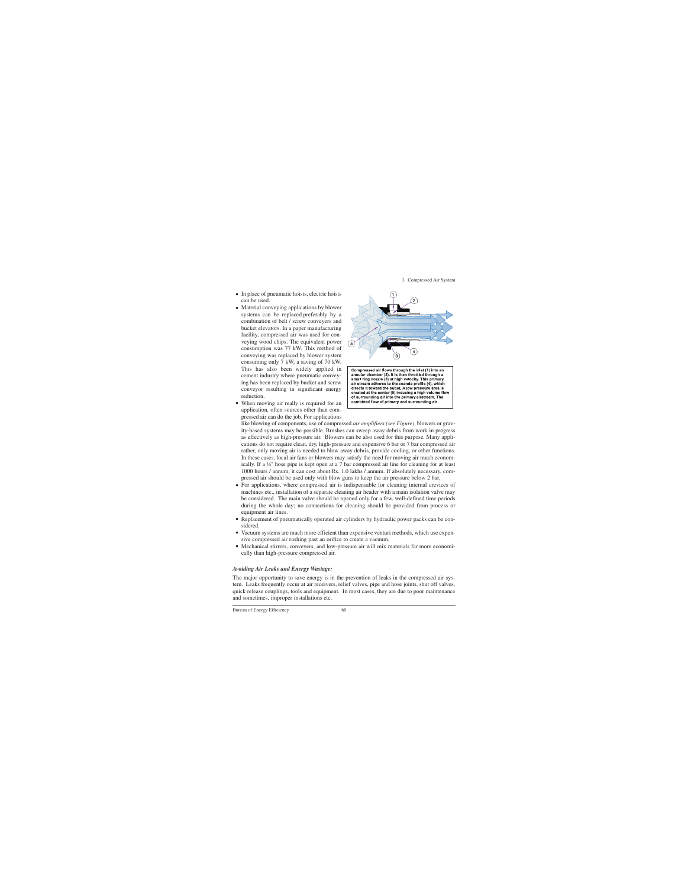- In place of pneumatic hoists, electric hoists can be used.
- Material conveying applications by blower systems can be replaced preferably by a combination of belt / screw conveyers and bucket elevators. In a paper manufacturing facility, compressed air was used for conveying wood chips. The equivalent power consumption was 77 kW. This method of conveying was replaced by blower system consuming only 7 kW, a saving of 70 kW. This has also been widely applied in cement industry where pneumatic conveying has been replaced by bucket and screw conveyor resulting in significant energy reduction.
- When moving air really is required for an application, often sources other than compressed air can do the job. For applications



Compressed air flows through the inlet (1) into an annular chamber (2). It is then throttled through a small ring nozzle (3) at high velocity. This primary air stream adheres to the coanda profile (4), which directs it toward the outlet. A low pressure area is created at the center (5) inducing a high volume flow of surrounding air into the primary airstream. The combined flow of primary and surrounding air

like blowing of components, use of compressed *air amplifiers (see Figure)*, blowers or gravity-based systems may be possible. Brushes can sweep away debris from work in progress as effectively as high-pressure air. Blowers can be also used for this purpose. Many applications do not require clean, dry, high-pressure and expensive 6 bar or 7 bar compressed air rather, only moving air is needed to blow away debris, provide cooling, or other functions. In these cases, local air fans or blowers may satisfy the need for moving air much economically. If a ¼" hose pipe is kept open at a 7 bar compressed air line for cleaning for at least 1000 hours / annum, it can cost about Rs. 1.0 lakhs / annum. If absolutely necessary, compressed air should be used only with blow guns to keep the air pressure below 2 bar.

- For applications, where compressed air is indispensable for cleaning internal crevices of machines etc., installation of a separate cleaning air header with a main isolation valve may be considered. The main valve should be opened only for a few, well-defined time periods during the whole day; no connections for cleaning should be provided from process or equipment air lines.
- Replacement of pneumatically operated air cylinders by hydraulic power packs can be considered.
- Vacuum systems are much more efficient than expensive venturi methods, which use expensive compressed air rushing past an orifice to create a vacuum.
- Mechanical stirrers, conveyers, and low-pressure air will mix materials far more economically than high-pressure compressed air.

## *Avoiding Air Leaks and Energy Wastage:*

The major opportunity to save energy is in the prevention of leaks in the compressed air system. Leaks frequently occur at air receivers, relief valves, pipe and hose joints, shut off valves, quick release couplings, tools and equipment. In most cases, they are due to poor maintenance and sometimes, improper installations etc.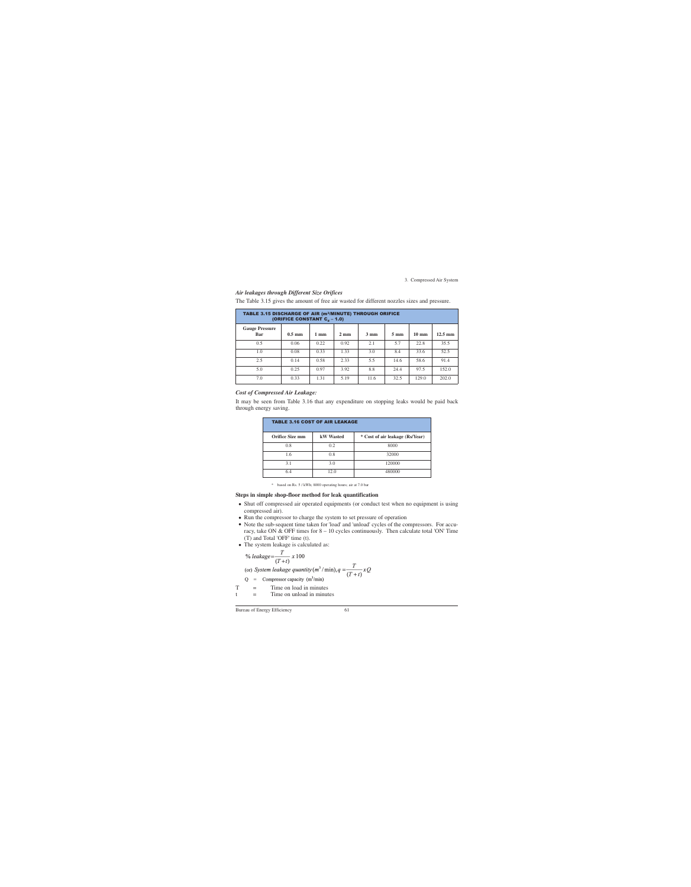#### *Air leakages through Different Size Orifices*

| TABLE 3.15 DISCHARGE OF AIR (m <sup>3</sup> /MINUTE) THROUGH ORIFICE<br>(ORIFICE CONSTANT $C_d - 1.0$ ) |                  |                |                |                |                |                 |                   |
|---------------------------------------------------------------------------------------------------------|------------------|----------------|----------------|----------------|----------------|-----------------|-------------------|
| <b>Gauge Pressure</b><br>Bar                                                                            | $0.5 \text{ mm}$ | $1 \text{ mm}$ | $2 \text{ mm}$ | $3 \text{ mm}$ | $5 \text{ mm}$ | $10 \text{ mm}$ | $12.5 \text{ mm}$ |
| 0.5                                                                                                     | 0.06             | 0.22           | 0.92           | 2.1            | 5.7            | 22.8            | 35.5              |
| 1.0                                                                                                     | 0.08             | 0.33           | 1.33           | 3.0            | 8.4            | 33.6            | 52.5              |
| 2.5                                                                                                     | 0.14             | 0.58           | 2.33           | 5.5            | 14.6           | 58.6            | 91.4              |
| 5.0                                                                                                     | 0.25             | 0.97           | 3.92           | 8.8            | 24.4           | 97.5            | 152.0             |
| 7.0                                                                                                     | 0.33             | 1.31           | 5.19           | 11.6           | 32.5           | 129.0           | 202.0             |

The Table 3.15 gives the amount of free air wasted for different nozzles sizes and pressure.

## *Cost of Compressed Air Leakage:*

It may be seen from Table 3.16 that any expenditure on stopping leaks would be paid back through energy saving.

| <b>TABLE 3.16 COST OF AIR LEAKAGE</b> |                  |                                 |  |  |  |
|---------------------------------------|------------------|---------------------------------|--|--|--|
| <b>Orifice Size mm</b>                | <b>kW</b> Wasted | * Cost of air leakage (Rs/Year) |  |  |  |
| 0.8                                   | 0.2              | 8000                            |  |  |  |
| 1.6                                   | 0.8              | 32000                           |  |  |  |
| 3.1                                   | 3.0              | 120000                          |  |  |  |
| 6.4                                   | 12.0             | 480000                          |  |  |  |

\* based on Rs. 5 / kWh; 8000 operating hours; air at 7.0 bar

### **Steps in simple shop-floor method for leak quantification**

- Shut off compressed air operated equipments (or conduct test when no equipment is using compressed air).
- Run the compressor to charge the system to set pressure of operation
- Note the sub-sequent time taken for 'load' and 'unload' cycles of the compressors. For accuracy, take ON  $&$  OFF times for  $8 - 10$  cycles continuously. Then calculate total 'ON' Time (T) and Total 'OFF' time (t).
- The system leakage is calculated as:

$$
\%\text{\}\overline{\text{leakage}} = \frac{T}{(T+t)} \times 100
$$

(or) System leakage quantity  $(m^3 / \text{min})$ ,  $q = \frac{T}{(T+t)} xQ$ 

- $Q =$ Compressor capacity  $(m^3/\text{min})$
- $T =$  Time on load in minutes
- $t =$  Time on unload in minutes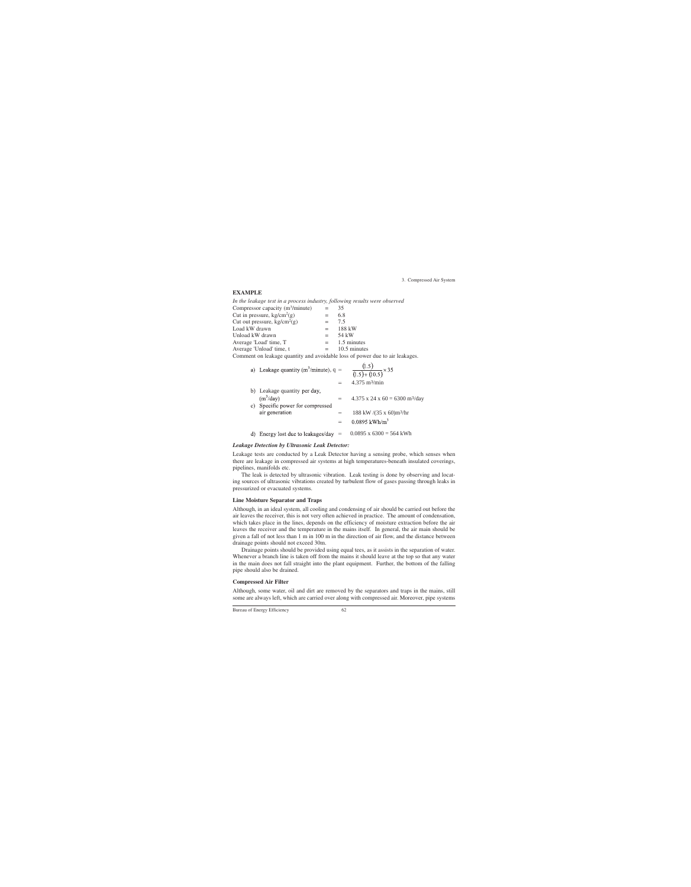### **EXAMPLE**

*In the leakage test in a process industry, following results were observed*

| Compressor capacity $(m^3/minute)$                                             | $=$ $-$ | 35              |
|--------------------------------------------------------------------------------|---------|-----------------|
| Cut in pressure, $kg/cm2(g)$                                                   | $=$     | 6.8             |
| Cut out pressure, $kg/cm2(g)$                                                  | $=$ $-$ | 7.5             |
| Load kW drawn                                                                  | $=$ $-$ | 188 kW          |
| Unload kW drawn                                                                | $=$     | 54 kW           |
| Average 'Load' time, T                                                         |         | $=$ 1.5 minutes |
| Average 'Unload' time, t                                                       | $=$ $-$ | 10.5 minutes    |
| Commant on legislage quantity and evoidable loss of november to aim legislages |         |                 |

Comment on leakage quantity and avoidable loss of power due to air leakages.

| a) Leakage quantity ( $m^3/minute$ ), q =          | $\frac{(1.5)}{(1.5)+(10.5)} \times 35$                                     |
|----------------------------------------------------|----------------------------------------------------------------------------|
|                                                    | 4.375 $m^3/m$ in                                                           |
| b) Leakage quantity per day,<br>$(m^3/day)$        | $4.375$ x 24 x 60 = 6300 m <sup>3</sup> /day                               |
| c) Specific power for compressed<br>air generation | 188 kW $/(35 \times 60)$ m <sup>3</sup> /hr<br>$0.0895$ kWh/m <sup>3</sup> |
| Energy lost due to leakages/day $=$                | $0.0895$ x $6300 = 564$ kWh                                                |

#### *Leakage Detection by Ultrasonic Leak Detector:*

Leakage tests are conducted by a Leak Detector having a sensing probe, which senses when there are leakage in compressed air systems at high temperatures-beneath insulated coverings, pipelines, manifolds etc.

The leak is detected by ultrasonic vibration. Leak testing is done by observing and locating sources of ultrasonic vibrations created by turbulent flow of gases passing through leaks in pressurized or evacuated systems.

### **Line Moisture Separator and Traps**

Although, in an ideal system, all cooling and condensing of air should be carried out before the air leaves the receiver, this is not very often achieved in practice. The amount of condensation, which takes place in the lines, depends on the efficiency of moisture extraction before the air leaves the receiver and the temperature in the mains itself. In general, the air main should be given a fall of not less than 1 m in 100 m in the direction of air flow, and the distance between drainage points should not exceed 30m.

Drainage points should be provided using equal tees, as it assists in the separation of water. Whenever a branch line is taken off from the mains it should leave at the top so that any water in the main does not fall straight into the plant equipment. Further, the bottom of the falling pipe should also be drained.

## **Compressed Air Filter**

Although, some water, oil and dirt are removed by the separators and traps in the mains, still some are always left, which are carried over along with compressed air. Moreover, pipe systems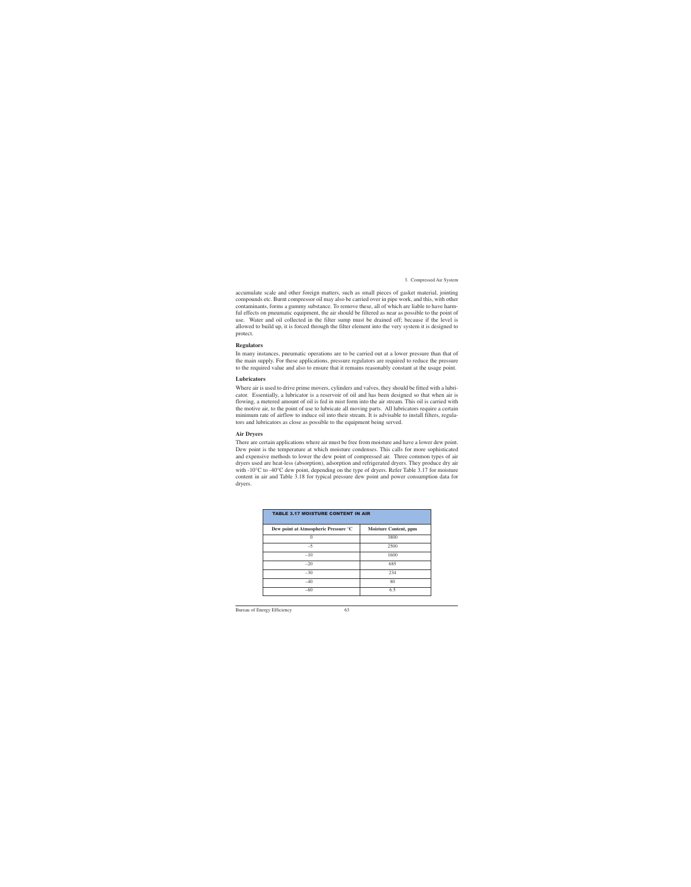accumulate scale and other foreign matters, such as small pieces of gasket material, jointing compounds etc. Burnt compressor oil may also be carried over in pipe work, and this, with other contaminants, forms a gummy substance. To remove these, all of which are liable to have harmful effects on pneumatic equipment, the air should be filtered as near as possible to the point of use. Water and oil collected in the filter sump must be drained off; because if the level is allowed to build up, it is forced through the filter element into the very system it is designed to protect.

#### **Regulators**

In many instances, pneumatic operations are to be carried out at a lower pressure than that of the main supply. For these applications, pressure regulators are required to reduce the pressure to the required value and also to ensure that it remains reasonably constant at the usage point.

#### **Lubricators**

Where air is used to drive prime movers, cylinders and valves, they should be fitted with a lubricator. Essentially, a lubricator is a reservoir of oil and has been designed so that when air is flowing, a metered amount of oil is fed in mist form into the air stream. This oil is carried with the motive air, to the point of use to lubricate all moving parts. All lubricators require a certain minimum rate of airflow to induce oil into their stream. It is advisable to install filters, regulators and lubricators as close as possible to the equipment being served.

#### **Air Dryers**

There are certain applications where air must be free from moisture and have a lower dew point. Dew point is the temperature at which moisture condenses. This calls for more sophisticated and expensive methods to lower the dew point of compressed air. Three common types of air dryers used are heat-less (absorption), adsorption and refrigerated dryers. They produce dry air with -10<sup>o</sup>C to -40<sup>o</sup>C dew point, depending on the type of dryers. Refer Table 3.17 for moisture content in air and Table 3.18 for typical pressure dew point and power consumption data for dryers.

| <b>TABLE 3.17 MOISTURE CONTENT IN AIR</b> |                              |  |  |  |
|-------------------------------------------|------------------------------|--|--|--|
| Dew point at Atmospheric Pressure °C      | <b>Moisture Content, ppm</b> |  |  |  |
| 0                                         | 3800                         |  |  |  |
| $-5$                                      | 2500                         |  |  |  |
| $-10$                                     | 1600                         |  |  |  |
| $-20$                                     | 685                          |  |  |  |
| $-30$                                     | 234                          |  |  |  |
| $-40$                                     | 80                           |  |  |  |
| $-60$                                     | 6.5                          |  |  |  |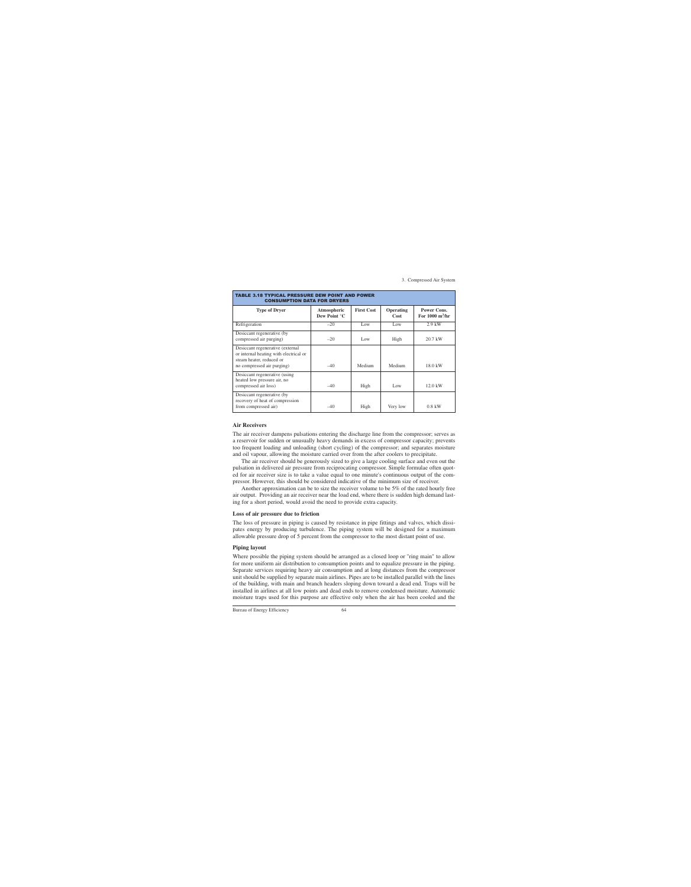| TABLE 3.18 TYPICAL PRESSURE DEW POINT AND POWER<br><b>CONSUMPTION DATA FOR DRYERS</b>                                                |                             |                   |                          |                                                        |  |  |
|--------------------------------------------------------------------------------------------------------------------------------------|-----------------------------|-------------------|--------------------------|--------------------------------------------------------|--|--|
| <b>Type of Dryer</b>                                                                                                                 | Atmospheric<br>Dew Point °C | <b>First Cost</b> | <b>Operating</b><br>Cost | <b>Power Cons.</b><br>For $1000 \text{ m}^3/\text{hr}$ |  |  |
| Refrigeration                                                                                                                        | $-20$                       | Low               | Low                      | $2.9$ kW                                               |  |  |
| Desiccant regenerative (by<br>compressed air purging)                                                                                | $-20$                       | Low               | High                     | $20.7$ kW                                              |  |  |
| Desiccant regenerative (external<br>or internal heating with electrical or<br>steam heater, reduced or<br>no compressed air purging) | $-40$                       | Medium            | Medium                   | 18.0 kW                                                |  |  |
| Desiccant regenerative (using<br>heated low pressure air, no<br>compressed air loss)                                                 | $-40$                       | High              | Low                      | $12.0 \text{ kW}$                                      |  |  |
| Desiccant regenerative (by<br>recovery of heat of compression<br>from compressed air)                                                | $-40$                       | High              | Very low                 | $0.8$ kW                                               |  |  |

#### **Air Receivers**

The air receiver dampens pulsations entering the discharge line from the compressor; serves as a reservoir for sudden or unusually heavy demands in excess of compressor capacity; prevents too frequent loading and unloading (short cycling) of the compressor; and separates moisture and oil vapour, allowing the moisture carried over from the after coolers to precipitate.

The air receiver should be generously sized to give a large cooling surface and even out the pulsation in delivered air pressure from reciprocating compressor. Simple formulae often quoted for air receiver size is to take a value equal to one minute's continuous output of the compressor. However, this should be considered indicative of the minimum size of receiver.

Another approximation can be to size the receiver volume to be 5% of the rated hourly free air output. Providing an air receiver near the load end, where there is sudden high demand lasting for a short period, would avoid the need to provide extra capacity.

#### **Loss of air pressure due to friction**

The loss of pressure in piping is caused by resistance in pipe fittings and valves, which dissipates energy by producing turbulence. The piping system will be designed for a maximum allowable pressure drop of 5 percent from the compressor to the most distant point of use.

#### **Piping layout**

Where possible the piping system should be arranged as a closed loop or "ring main" to allow for more uniform air distribution to consumption points and to equalize pressure in the piping. Separate services requiring heavy air consumption and at long distances from the compressor unit should be supplied by separate main airlines. Pipes are to be installed parallel with the lines of the building, with main and branch headers sloping down toward a dead end. Traps will be installed in airlines at all low points and dead ends to remove condensed moisture. Automatic moisture traps used for this purpose are effective only when the air has been cooled and the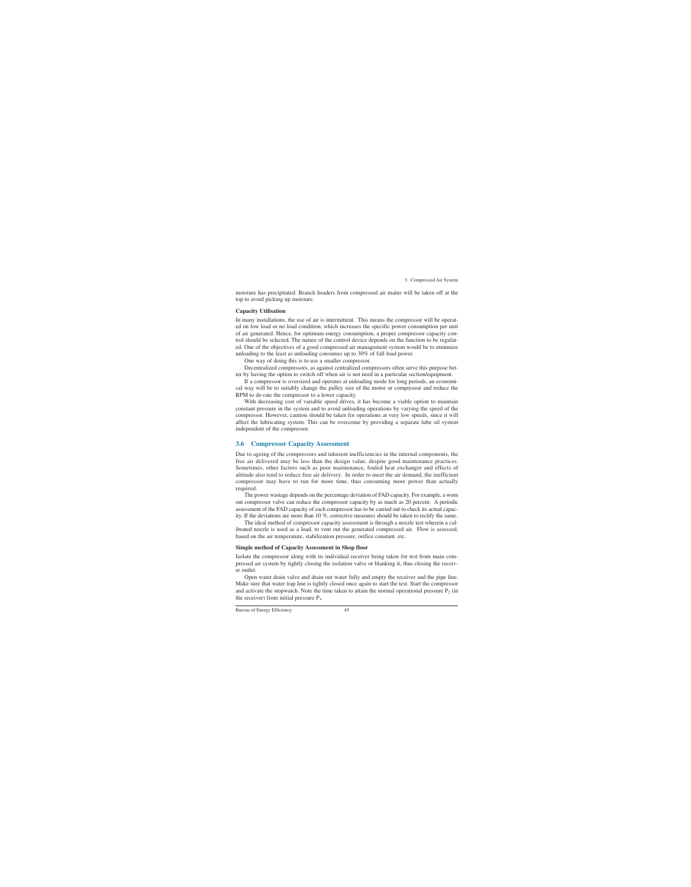moisture has precipitated. Branch headers from compressed air mains will be taken off at the top to avoid picking up moisture.

### **Capacity Utilisation**

In many installations, the use of air is intermittent. This means the compressor will be operated on low load or no load condition, which increases the specific power consumption per unit of air generated. Hence, for optimum energy consumption, a proper compressor capacity control should be selected. The nature of the control device depends on the function to be regulated. One of the objectives of a good compressed air management system would be to minimize unloading to the least as unloading consumes up to 30% of full load power.

One way of doing this is to use a smaller compressor.

Decentralized compressors, as against centralized compressors often serve this purpose better by having the option to switch off when air is not need in a particular section/equipment.

If a compressor is oversized and operates at unloading mode for long periods, an economical way will be to suitably change the pulley size of the motor or compressor and reduce the RPM to de-rate the compressor to a lower capacity.

With decreasing cost of variable speed drives, it has become a viable option to maintain constant pressure in the system and to avoid unloading operations by varying the speed of the compressor. However, caution should be taken for operations at very low speeds, since it will affect the lubricating system. This can be overcome by providing a separate lube oil system independent of the compressor.

## **3.6 Compressor Capacity Assessment**

Due to ageing of the compressors and inherent inefficiencies in the internal components, the free air delivered may be less than the design value, despite good maintenance practices. Sometimes, other factors such as poor maintenance, fouled heat exchanger and effects of altitude also tend to reduce free air delivery. In order to meet the air demand, the inefficient compressor may have to run for more time, thus consuming more power than actually required.

The power wastage depends on the percentage deviation of FAD capacity. For example, a worn out compressor valve can reduce the compressor capacity by as much as 20 percent. A periodic assessment of the FAD capacity of each compressor has to be carried out to check its actual capacity. If the deviations are more than 10 %, corrective measures should be taken to rectify the same.

The ideal method of compressor capacity assessment is through a nozzle test wherein a calibrated nozzle is used as a load, to vent out the generated compressed air. Flow is assessed, based on the air temperature, stabilization pressure, orifice constant. etc.

### **Simple method of Capacity Assessment in Shop floor**

Isolate the compressor along with its individual receiver being taken for test from main compressed air system by tightly closing the isolation valve or blanking it, thus closing the receiver outlet.

Open water drain valve and drain out water fully and empty the receiver and the pipe line. Make sure that water trap line is tightly closed once again to start the test. Start the compressor and activate the stopwatch. Note the time taken to attain the normal operational pressure  $P_2$  (in the receiver) from initial pressure  $P_1$ .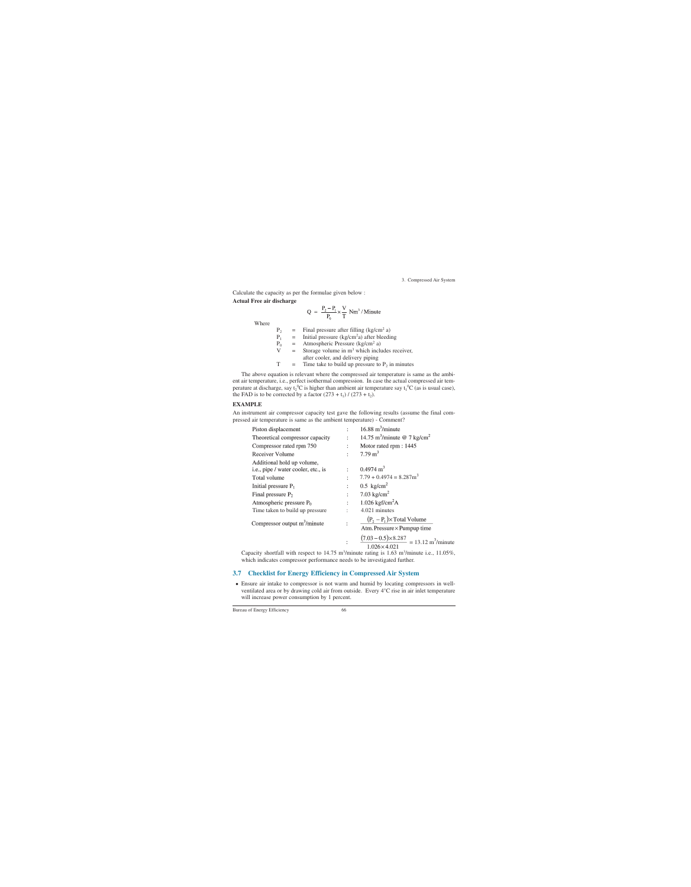Calculate the capacity as per the formulae given below :

#### **Actual Free air discharge**

$$
Q = \frac{P_2 - P_1}{P_0} \times \frac{V}{T} Nm^3 / Minute
$$

Where

| $P_{2}$      |     | Final pressure after filling $(kg/cm2 a)$          |
|--------------|-----|----------------------------------------------------|
| $P_1$        | $=$ | Initial pressure $(kg/cm2a)$ after bleeding        |
| $P_0$        |     | Atmospheric Pressure (kg/cm <sup>2</sup> a)        |
| $\mathbf{V}$ | $=$ | Storage volume in $m3$ which includes receiver,    |
|              |     | after cooler, and delivery piping                  |
| $\mathbf T$  |     | Time take to build up pressure to $P_2$ in minutes |
|              |     |                                                    |

The above equation is relevant where the compressed air temperature is same as the ambient air temperature, i.e., perfect isothermal compression. In case the actual compressed air temperature at discharge, say  $t_2$ <sup>o</sup>C is higher than ambient air temperature say  $t_1$ <sup>o</sup>C (as is usual case), the FAD is to be corrected by a factor  $(273 + t_1) / (273 + t_2)$ .

### **EXAMPLE**

An instrument air compressor capacity test gave the following results (assume the final compressed air temperature is same as the ambient temperature) - Comment?

|                                     | $P_0$       | $=$ | Atmospheric Pressure ( $kg/cm2$ a)                             |                           |                                                                                                                                                |
|-------------------------------------|-------------|-----|----------------------------------------------------------------|---------------------------|------------------------------------------------------------------------------------------------------------------------------------------------|
|                                     | $\mathbf V$ | $=$ |                                                                |                           | Storage volume in $m3$ which includes receiver,                                                                                                |
|                                     |             |     | after cooler, and delivery piping                              |                           |                                                                                                                                                |
|                                     | T           | $=$ |                                                                |                           | Time take to build up pressure to $P_2$ in minutes                                                                                             |
|                                     |             |     |                                                                |                           | e above equation is relevant where the compressed air temperature is same as the ambi-                                                         |
|                                     |             |     |                                                                |                           | temperature, i.e., perfect isothermal compression. In case the actual compressed air tem-                                                      |
|                                     |             |     |                                                                |                           | e at discharge, say t <sub>2</sub> <sup>0</sup> C is higher than ambient air temperature say t <sub>1</sub> <sup>0</sup> C (as is usual case). |
|                                     |             |     | D is to be corrected by a factor $(273 + t_1) / (273 + t_2)$ . |                           |                                                                                                                                                |
| <b>IPLE</b>                         |             |     |                                                                |                           |                                                                                                                                                |
|                                     |             |     |                                                                |                           | trument air compressor capacity test gave the following results (assume the final com-                                                         |
|                                     |             |     |                                                                |                           | l air temperature is same as the ambient temperature) - Comment?                                                                               |
| Piston displacement                 |             |     |                                                                |                           | $16.88 \text{ m}^3/\text{minute}$                                                                                                              |
| Theoretical compressor capacity     |             |     |                                                                | $\mathbb{R}^{n \times n}$ | 14.75 m <sup>3</sup> /minute @ 7 kg/cm <sup>2</sup>                                                                                            |
| Compressor rated rpm 750            |             |     |                                                                |                           | Motor rated rpm: 1445                                                                                                                          |
| <b>Receiver Volume</b>              |             |     |                                                                |                           | 7.79 $m^3$                                                                                                                                     |
| Additional hold up volume,          |             |     |                                                                |                           |                                                                                                                                                |
| i.e., pipe / water cooler, etc., is |             |     |                                                                | ÷                         | $0.4974 \text{ m}^3$                                                                                                                           |
| Total volume                        |             |     |                                                                |                           | $7.79 + 0.4974 = 8.287$ m <sup>3</sup>                                                                                                         |
| Initial pressure $P_1$              |             |     |                                                                |                           | $0.5 \text{ kg/cm}^2$                                                                                                                          |
| Final pressure $P_2$                |             |     |                                                                |                           | 7.03 $\text{kg/cm}^2$                                                                                                                          |
| Atmospheric pressure $P_0$          |             |     |                                                                |                           | $1.026$ kgf/cm <sup>2</sup> A                                                                                                                  |
| Time taken to build up pressure     |             |     |                                                                |                           | 4.021 minutes                                                                                                                                  |
|                                     |             |     |                                                                |                           | $(P_2 - P_1) \times \text{Total Volume}$                                                                                                       |
| Compressor output $m^3/m$ inute     |             |     |                                                                |                           | Atm. Pressure × Pumpup time                                                                                                                    |
|                                     |             |     |                                                                |                           |                                                                                                                                                |
|                                     |             |     |                                                                |                           | $\frac{(7.03-0.5)\times8.287}{1.026\times4.021} = 13.12 \text{ m}^3/\text{minute}$                                                             |
|                                     |             |     |                                                                |                           | pacity shortfall with respect to 14.75 m <sup>3</sup> /minute rating is 1.63 m <sup>3</sup> /minute i.e., 11.05%                               |
|                                     |             |     |                                                                |                           | ich indicates compressor performance needs to be investigated further.                                                                         |
|                                     |             |     |                                                                |                           |                                                                                                                                                |

## **3.7 Checklist for Energy Efficiency in Compressed Air System**

• Ensure air intake to compressor is not warm and humid by locating compressors in wellventilated area or by drawing cold air from outside. Every 4°C rise in air inlet temperature will increase power consumption by 1 percent.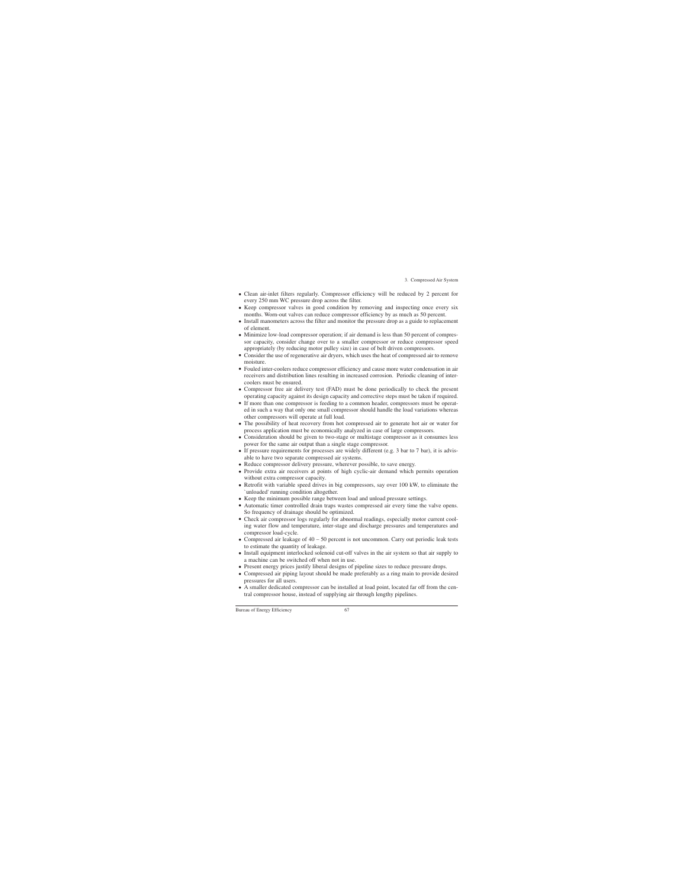- Clean air-inlet filters regularly. Compressor efficiency will be reduced by 2 percent for every 250 mm WC pressure drop across the filter.
- Keep compressor valves in good condition by removing and inspecting once every six months. Worn-out valves can reduce compressor efficiency by as much as 50 percent.
- Install manometers across the filter and monitor the pressure drop as a guide to replacement of element.
- Minimize low-load compressor operation; if air demand is less than 50 percent of compressor capacity, consider change over to a smaller compressor or reduce compressor speed appropriately (by reducing motor pulley size) in case of belt driven compressors.
- Consider the use of regenerative air dryers, which uses the heat of compressed air to remove moisture.
- Fouled inter-coolers reduce compressor efficiency and cause more water condensation in air receivers and distribution lines resulting in increased corrosion. Periodic cleaning of intercoolers must be ensured.
- Compressor free air delivery test (FAD) must be done periodically to check the present operating capacity against its design capacity and corrective steps must be taken if required.
- If more than one compressor is feeding to a common header, compressors must be operated in such a way that only one small compressor should handle the load variations whereas other compressors will operate at full load.
- The possibility of heat recovery from hot compressed air to generate hot air or water for process application must be economically analyzed in case of large compressors.
- Consideration should be given to two-stage or multistage compressor as it consumes less power for the same air output than a single stage compressor.
- If pressure requirements for processes are widely different (e.g. 3 bar to 7 bar), it is advisable to have two separate compressed air systems.
- Reduce compressor delivery pressure, wherever possible, to save energy.
- Provide extra air receivers at points of high cyclic-air demand which permits operation without extra compressor capacity.
- Retrofit with variable speed drives in big compressors, say over 100 kW, to eliminate the `unloaded' running condition altogether.
- Keep the minimum possible range between load and unload pressure settings.
- Automatic timer controlled drain traps wastes compressed air every time the valve opens. So frequency of drainage should be optimized.
- Check air compressor logs regularly for abnormal readings, especially motor current cooling water flow and temperature, inter-stage and discharge pressures and temperatures and compressor load-cycle.
- Compressed air leakage of  $40 50$  percent is not uncommon. Carry out periodic leak tests to estimate the quantity of leakage.
- Install equipment interlocked solenoid cut-off valves in the air system so that air supply to a machine can be switched off when not in use.
- Present energy prices justify liberal designs of pipeline sizes to reduce pressure drops.
- Compressed air piping layout should be made preferably as a ring main to provide desired pressures for all users.
- A smaller dedicated compressor can be installed at load point, located far off from the central compressor house, instead of supplying air through lengthy pipelines.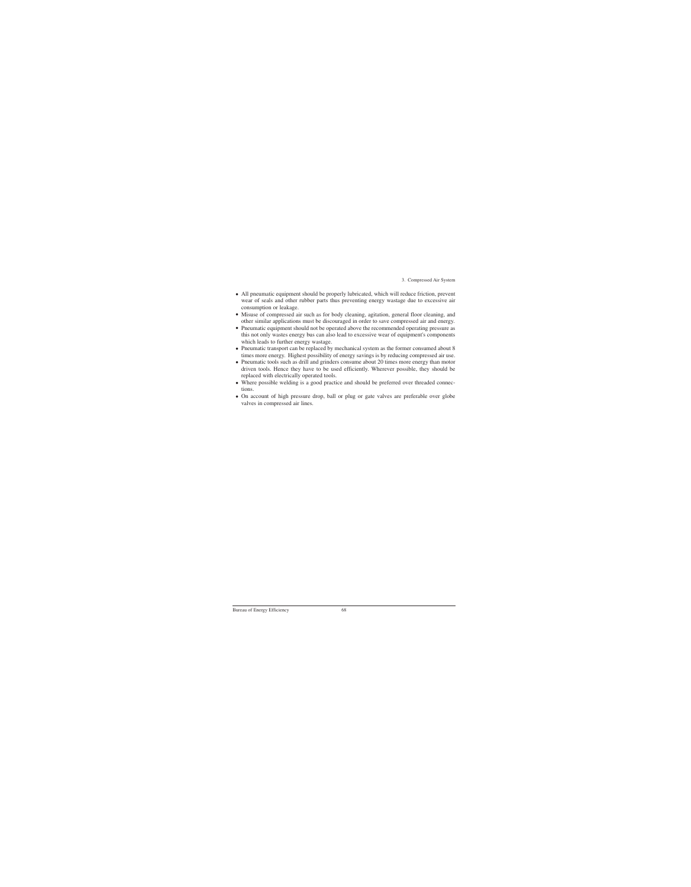- All pneumatic equipment should be properly lubricated, which will reduce friction, prevent wear of seals and other rubber parts thus preventing energy wastage due to excessive air consumption or leakage.
- Misuse of compressed air such as for body cleaning, agitation, general floor cleaning, and other similar applications must be discouraged in order to save compressed air and energy.
- Pneumatic equipment should not be operated above the recommended operating pressure as this not only wastes energy bus can also lead to excessive wear of equipment's components which leads to further energy wastage.
- Pneumatic transport can be replaced by mechanical system as the former consumed about 8 times more energy. Highest possibility of energy savings is by reducing compressed air use.
- Pneumatic tools such as drill and grinders consume about 20 times more energy than motor driven tools. Hence they have to be used efficiently. Wherever possible, they should be replaced with electrically operated tools.
- Where possible welding is a good practice and should be preferred over threaded connections.
- On account of high pressure drop, ball or plug or gate valves are preferable over globe valves in compressed air lines.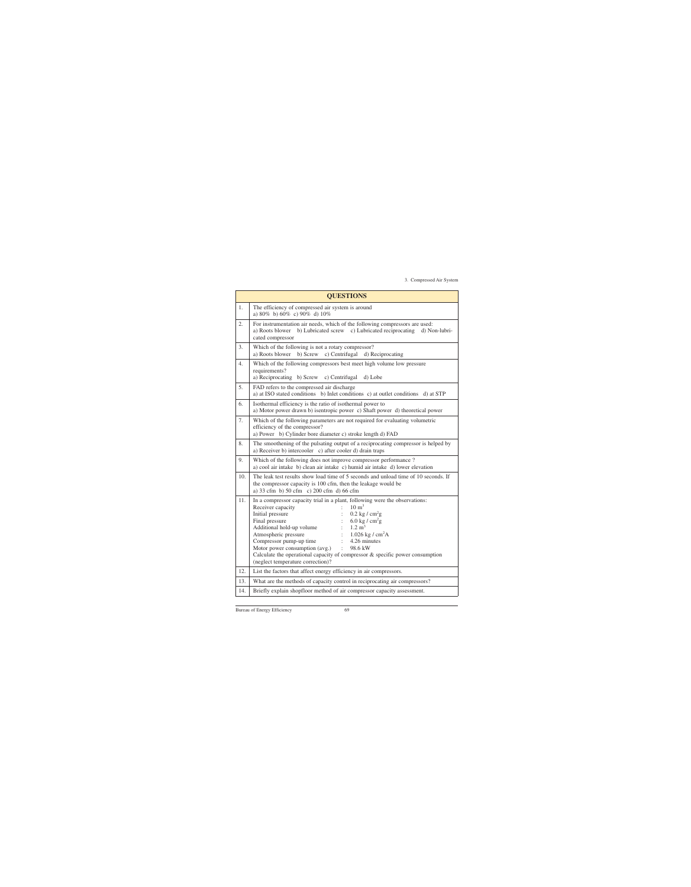| <b>QUESTIONS</b> |                                                                                                                                                                                                                                                                                                                                                                                                                                                                                                                                                                           |  |  |  |  |  |
|------------------|---------------------------------------------------------------------------------------------------------------------------------------------------------------------------------------------------------------------------------------------------------------------------------------------------------------------------------------------------------------------------------------------------------------------------------------------------------------------------------------------------------------------------------------------------------------------------|--|--|--|--|--|
| 1.               | The efficiency of compressed air system is around<br>a) $80\%$ b) $60\%$ c) $90\%$ d) $10\%$                                                                                                                                                                                                                                                                                                                                                                                                                                                                              |  |  |  |  |  |
| 2.               | For instrumentation air needs, which of the following compressors are used:<br>a) Roots blower b) Lubricated screw c) Lubricated reciprocating<br>d) Non-lubri-<br>cated compressor                                                                                                                                                                                                                                                                                                                                                                                       |  |  |  |  |  |
| 3.               | Which of the following is not a rotary compressor?<br>c) Centrifugal d) Reciprocating<br>a) Roots blower<br>b) Screw                                                                                                                                                                                                                                                                                                                                                                                                                                                      |  |  |  |  |  |
| 4.               | Which of the following compressors best meet high volume low pressure<br>requirements?<br>a) Reciprocating b) Screw c) Centrifugal<br>d) Lobe                                                                                                                                                                                                                                                                                                                                                                                                                             |  |  |  |  |  |
| 5.               | FAD refers to the compressed air discharge<br>a) at ISO stated conditions b) Inlet conditions c) at outlet conditions d) at STP                                                                                                                                                                                                                                                                                                                                                                                                                                           |  |  |  |  |  |
| 6.               | Isothermal efficiency is the ratio of isothermal power to<br>a) Motor power drawn b) is entropic power c) Shaft power d) theoretical power                                                                                                                                                                                                                                                                                                                                                                                                                                |  |  |  |  |  |
| 7.               | Which of the following parameters are not required for evaluating volumetric<br>efficiency of the compressor?<br>a) Power b) Cylinder bore diameter c) stroke length d) FAD                                                                                                                                                                                                                                                                                                                                                                                               |  |  |  |  |  |
| 8.               | The smoothening of the pulsating output of a reciprocating compressor is helped by<br>a) Receiver b) intercooler c) after cooler d) drain traps                                                                                                                                                                                                                                                                                                                                                                                                                           |  |  |  |  |  |
| 9.               | Which of the following does not improve compressor performance?<br>a) cool air intake b) clean air intake c) humid air intake d) lower elevation                                                                                                                                                                                                                                                                                                                                                                                                                          |  |  |  |  |  |
| 10.              | The leak test results show load time of 5 seconds and unload time of 10 seconds. If<br>the compressor capacity is 100 cfm, then the leakage would be<br>a) 33 cfm b) 50 cfm c) 200 cfm d) 66 cfm                                                                                                                                                                                                                                                                                                                                                                          |  |  |  |  |  |
| 11.              | In a compressor capacity trial in a plant, following were the observations:<br>Receiver capacity<br>$\therefore$ 10 m <sup>3</sup><br>$0.2$ kg / cm <sup>2</sup> g<br>Initial pressure<br>6.0 kg / $\text{cm}^2\text{g}$<br>Final pressure<br>$1.2 \text{ m}^3$<br>Additional hold-up volume<br>Atmospheric pressure<br>1.026 kg / $cm2A$<br>Compressor pump-up time<br>4.26 minutes<br>Motor power consumption (avg.)<br>98.6 kW<br>$\ddot{\cdot}$<br>Calculate the operational capacity of compressor & specific power consumption<br>(neglect temperature correction)? |  |  |  |  |  |
| 12.              | List the factors that affect energy efficiency in air compressors.                                                                                                                                                                                                                                                                                                                                                                                                                                                                                                        |  |  |  |  |  |
| 13.              | What are the methods of capacity control in reciprocating air compressors?                                                                                                                                                                                                                                                                                                                                                                                                                                                                                                |  |  |  |  |  |
| 14.              | Briefly explain shopfloor method of air compressor capacity assessment.                                                                                                                                                                                                                                                                                                                                                                                                                                                                                                   |  |  |  |  |  |